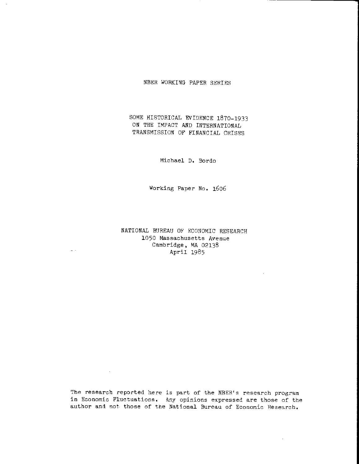NBER WORKING PAPER SERIES

SOME HISTORICAL EVIDENCE 1870—1933 ON THE IMPACT AND INTERNATIONAL TRANSMISSION OF FINANCIAL CRISES

Michael D. Bordo

Working Paper No. 1606

NATIONAL BUREAU OF ECONOMIC RESEARCH 1050 Massachusetts Avenue Cambridge, MA 02138 April 1985

 $\alpha$ 

 $\mathcal{L}_{\mathcal{A}}$ 

 $\omega_{\rm{eff}}$ 

 $\sim 10^{-11}$ 

The research reported here is part of the NBER's research program in Economic Fluctuations. Any opinions expressed are those of the author and not those of the National Bureau of Economic Research.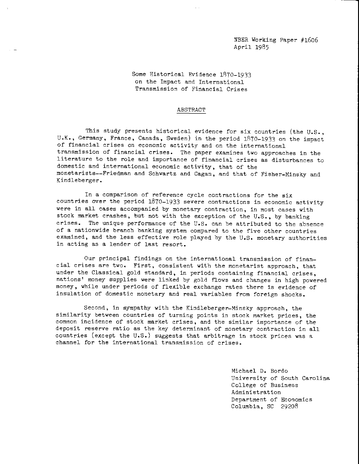NBER Working Paper #1606 April <sup>1985</sup>

#### Some Historical Evidence 1870-1933 on the Impact and International Transmission of Financial Crises

#### ABSTRACT

This study presents historical evidence for six countries (the U.S., U.K., Germany, France, Canada, Sweden) in the period 1870—1933 on the impact of financial crises on economic activity and on the international transmission of financial crises. The paper examines two approaches in the literature to the role and importance of financial crises as disturbances to domestic and international economic activity, that of the monetarists——Friedman and Schwartz and Cagan, and that of Fisher—Minsky and Kindleberger.

In a comparison of reference cycle contractions for the six countries over the period 1870—1933 severe contractions in economic activity were in all cases accompanied by monetary contraction, in most cases with stock market crashes, but not with the exception of the U.S., by banking crises. The unique performance of the U.S. can be attributed to the absence of a nationwide branch banking system compared to the five other countries examined, and the less effective role played by the U.S. monetary authorities in acting as a lender of last resort.

Our principal findings on the international transmission of financial crises are two. First, consistent with the monetarist approach, that under the Classical gold standard, in periods containing financial crises, nations' money supplies were linked by gold flows and changes in high powered money, while under periods of flexible exchange rates there is evidence of insulation of domestic monetary and real variables from foreign shocks.

Second, in sympathy with the Kindleberger—Minsky approach, the similarity between countries of turning points in stock market prices, the common incidence of stock market crises, and the similar importance of the deposit reserve ratio as the key determinant of monetary contraction in all countries (except the U.S.) suggests that arbitrage in stock prices was a channel for the international transmission of crises.

> Michael D. Bordo University of South Carolina College of Business Administration Department of Economics Columbia, SC 29203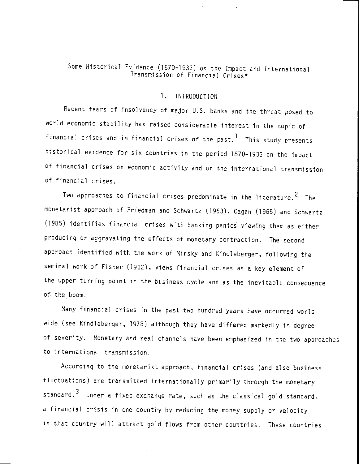# Some Historical Evidence (1870-1933) on the Impact and International Transmission of Financial Crises\*

# 1. INTRODUCTION

Recent fears of insolvency of major U.S. banks and the threat posed to world economic stability has raised considerable interest in the topic of financial crises and in financial crises of the past.<sup>1</sup> This study presents historical evidence for six countries in the period 1870—1933 on the impact of financial crises on economic activity and on the international transmission of financial crises.

Two approaches to financial crises predominate in the literature.<sup>2</sup> The nonetarist approach of Friedman and Schwartz (1963), Cagan (1965) and Schwartz (1985) identifies financial crises with banking panics viewing them as either producing or aggravating the effects of monetary contraction. The second approach identified with the work of Minsky and Kindleberger, following the seminal work of Fisher (1932), views financial crises as a key element of the upper turning point in the business cycle and as the inevitable consequence of the boom.

Many financial crises in the past two hundred years have occurred world wide (see Kindleberger, 1978) although they have differed markedly in degree of severity. Monetary and real channels have been emphasized in the two approaches to international transmission.

According to the monetarist approach, financial crises (and also business fluctuations) are transmitted internationally primarily through the monetary standard.<sup>3</sup> Under a fixed exchange rate, such as the classical gold standard, a financial crisis in one country by reducing the money supply or velocity in that country will attract gold flows from other countries. These countries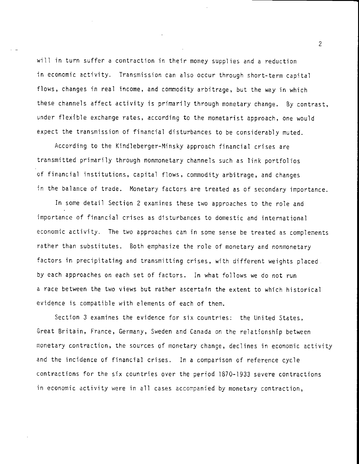will in turn suffer a contraction in their money supplies and a reduction in economic activity. Transmission can also occur through short-term capital flows, changes in real income, and commodity arbitrage, but the way in which these channels affect activity is primarily through monetary change. By contrast, under flexible exchange rates, according to the monetarist approach, one would expect the transmission of financial disturbances to be considerably muted.

According to the Kindleberger-Minsky approach financial crises are transmitted primarily through nonmonetary channels such as link portfolios of financial institutions, capital flows, commodity arbitrage, and changes in the balance of trade. Monetary factors are treated as of secondary importance.

In some detail Section 2 examines these two approaches to the role and importance of financial crises as disturbances to domestic and international economic activity. The two approaches can in some sense be treated as complements rather than substitutes. Both emphasize the role of monetary and nonmonetary factors in precipitating and transmitting crises, with different weights placed. by each approaches on each set of factors. In what follows we do not run a race between the two views but rather ascertain the extent to which historical evidence is compatible with elements of each of them.

Section 3 examines the evidence for six countries: the United States, Great Britain, France, Germany, Sweden and Canada on the relationship between monetary contraction, the sources of monetary change, declines in economic activity and the incidence of financial crises. In a comparison of reference cycle contractions for the six countries over the period 1870-1933 severe contractions in economic activity were in all cases accompanied by monetary contraction,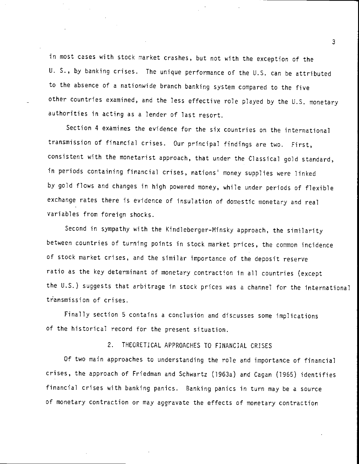in most cases with stock market crashes, but not with the exception of the U. S., by banking crises. The unique performance of the U.S. can be attributed to the absence of a nationwide branch banking system compared to the five other countries examined, and the less effective role played by the U.S. monetary authorities in acting as a lender of last resort.

 $\sim 10^7$ 

Section 4 examines the evidence for the six countries on the international transmission of financial crises. Our principal findings are two. First, consistent with the monetarist approach, that under the Classical gold standard, in periods containing financial crises, nations' money supplies were linked by gold flows and changes in high powered money, while under periods of flexible exchange rates there is evidence of insulation of domestic monetary and real variables from foreign shocks.

Second in sympathy with the Kindleberger—Minsky approach, the similarity between countries of turning points in stock market prices, the common incidence of stock market crises, and the similar importance of the deposit reserve ratio as the key determinant of monetary contraction in all countries (except the U.S.) suggests that arbitrage in stock prices was a channel for the international transmission of crises.

Finally section 5 contains a conclusion and discusses some implications of the historical record for the present situation.

# 2. THEORETICAL APPROACHES TO FINANCIAL CRISES

Of two main approaches to understanding the role and importance of financial crises, the approach of Friedman and Schwartz (l963a) and Cagan (1965) identifies financial crises with banking panics. Banking panics in turn may be a source of monetary contraction or may aggravate the effects of monetary contraction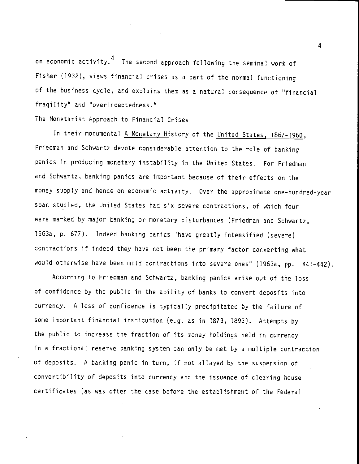on economic activity.<sup>4</sup> The second approach following the seminal work of Fisher (1932), views financial crises as a part of the normal functioning of the business cycle, and explains them as a natural consequence of "financial fragility" and "overindebtedness."

The Monetarist Approach to Financial Crises

In their monumental A Monetary History of the United States, 1867-1960, Friedman and Schwartz devote considerable attention to the role of banking panics in producing monetary instability in the United States. For Friedman and Schwartz, banking panics are important because of their effects on the money supply and hence on economic activity. Over the approximate one—hundred-year span studied, the United States had six severe contractions, of which four were marked by major banking or monetary disturbances (Friedman and Schwartz, l963a, p. 677). Indeed banking panics "have greatly intensified (severe) contractions if indeed they have not been the primary factor converting what would otherwise have been mild contractions into severe ones" (1963a, pp. 441-442).

According to Friedman and Schwartz, banking panics arise out of the loss of confidence by the public in the ability of banks to convert deposits into currency. A loss of confidence is typically precipitated by the failure of some important financial institution (e.g. as in 1873, 1893). Attempts by the public to increase the fraction of its money holdings held in currency in a fractional reserve banking system can only be met by a multiple contraction of deposits. A banking panic in turn, if not allayed by the suspension of convertibility of deposits into currency and the issuance of clearing house certificates (as was often the case before the establishment of the Federal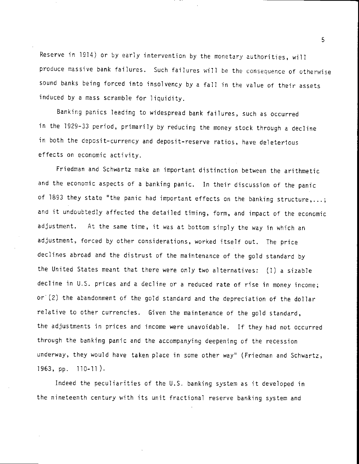Reserve in 1914) or by early intervention by the monetary authorities, will produce massive bank failures. Such failures will be the consequence of otherwise Sound banks being forced into insolvency by a fail in the value of their assets induced by a mass scramble for liquidity.

Banking panics leading to widespread bank failures, such as occurred in the 1929—33 period, primarily by reducing the money stock through a decline in both the deposit—currency and deposit—reserve ratios, have deleterious effects on economic activity.

Friedman and Schwartz make an important distinction between the arithmetic and the economic aspects of a banking panic. In their discussion of the panic of 1893 they state "the panic had important effects on the banking structure,...; and it undoubtedly affected the detailed timing, form, and impact of the economic adjustment. At the same time, it was at bottom simply the way in which an adjustment, forced by other considerations, worked itself out. The price declines abroad and the distrust of the maintenance of the gold standard by the United States meant that there were only two alternatives: (1) a sizable decline in U.S. prices and a decline or a reduced rate of rise in money income; or (2) the abandonment of the gold standard and the depreciation of the dollar relative to other currencies. Given the maintenance of the gold standard, the adjustments in prices and income were unavoidable. If they had not occurred through the banking panic and the accompanying deepening of the recession underway, they would have taken place in some other way" (Friedman and Schwartz, 1963, pp. 110—11 ).

Indeed the peculiarities of the U.S. banking system as it developed in the nineteenth century with its unit fractional reserve banking system and

S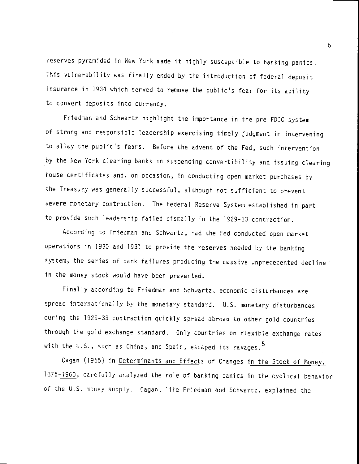reserves pyramided in New York made it highly susceptible to banking panics. This vulnerability was finally ended by the introduction of federal deposit insurance in 1934 which served to remove the public's fear for its ability to convert deposits into currency.

Friedman and Schwartz highlight the importance in the pre FDIC system of strong and responsible leadership exercising timely judgment in intervening to allay the public's fears. Before the advent of the Fed, such intervention by the New York clearing banks in suspending convertibility and issuing clearing house certificates and, on occasion, in conducting open market purchases by the Treasury was generally successful, although not sufficient to prevent severe monetary contraction. The Federal Reserve System established in part to provide such leadership failed dismally in the 1929—33 contraction.

According to Friedman and Schwartz, had the Fed conducted open market operations in 1930 and 1931 to provide the reserves needed by the banking system, the series of bank failures producing the massive unprecedented decline in the money stock would have been prevented.

Finally according to Friedman and Schwartz, economic disturbances are spread internationally by the monetary standard. U.S. monetary disturbances during the 1929-33 contraction quickly spread abroad to other gold countries through the gold exchange standard. Only countries on flexible exchange rates with the U.S., such as China, and Spain, escaped its ravages.<sup>5</sup>

Cagan (1965) in Determinants and Effects of Changes in the Stock of Money, 1875—1960, carefully analyzed the role of banking panics in the cyclical behavior of the U.S. money supply. Cagan, like Friedman and Schwartz, explained the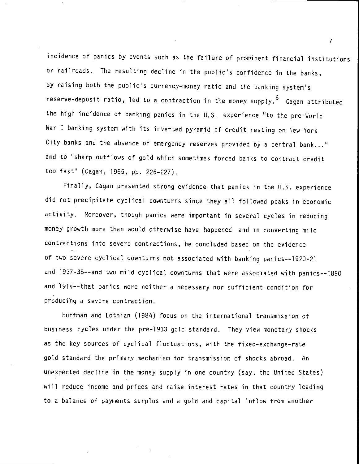incidence of panics by events such as the failure of prominent financial institutions or railroads. The resulting decline in the public's confidence in the banks, by raising both the public's currency-money ratio and the banking system's reserve-deposit ratio, led to a contraction in the money supply.  $6\degree$  Cagan attributed the high incidence of banking panics in the U.S. experience "to the pre—World War I banking system with its inverted pyramid of credit resting on New York City banks and the absence of emergency reserves provided by a central bank..." and to "sharp outflows of gold which sometimes forced banks to contract credit too fast" (Cagan, 1965, pp. 226—227).

Finally, Cagan presented strong evidence that panics in the U.S. experience did not precipitate cyclical downturns since they all followed peaks in economic activity. Moreover, though panics were important in several cycles in reducing money growth more than would otherwise have happened and in converting mild contractions into severe contractions, he concluded based on the evidence of two severe cyclical downturns not associated with banking panics——l920—21 and 1937-38—-and two mild cyclical downturns that were associated with panics—-1890 and 1914-—that panics were neither a necessary nor sufficient condition for producing a severe contraction.

Huffrnan and Lothian (1984) focus on the international transmission of business cycles under the pre—1933 gold standard. They view monetary shocks as the key sources of cyclical fluctuations, with the fixed—exchange—rate gold standard the primary mechanism for transmission of shocks abroad. An unexpected decline in the money supply in one country (say, the United States) will reduce income and prices and raise interest rates in that country leading to a balance of payments surplus and a gold and capital inflow from another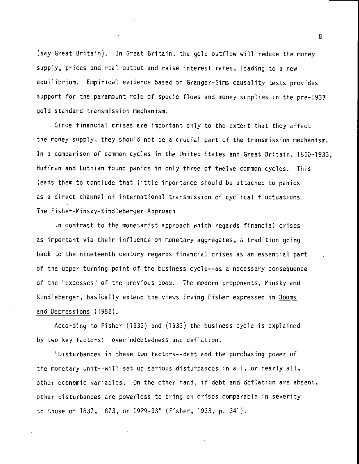(say Great Britain). In Great Britain, the gold outflow will reduce the money supply, prices and real output and raise interest rates, leading to a new equilibrium. Empirical evidence based on Granger—Sims causality tests provides support for the paramount role of specie flows and money supplies in the pre—1933 gold standard transmission mechanism.

Since financial crises are important only to the extent that they affect the money supply, they should not be a crucial part of the transmission mechanism. In a comparison of common cycles in the United States and Great Britain, 1830-1933, Huffman and Lothian found panics in only three of twelve common cycles. This leads them to conclude that little importance should be attached to panics as a direct channel of international transmission of cyclical fluctuations. The Fisher—Minsky—Kindleberger Approach

In contrast to the monetarist approach which regards financial crises as important via their influence on monetary aggregates, a tradition going back to the nineteenth century regards financial crises as an essential part of the upper turning point of the business cycle——as a necessary consequence of the "excesses" of the previous boom. The modern proponents, Minsky and Kindleberger, basically extend the views Irving Fisher expressed in Booms and Depressions (1982).

According to Fisher (1932) and (1933) the business cycle is explained by two key factors: overindebtedness and deflation.

"Disturbances in these two factors——debt and the purchasing power of the monetary unit-—will set up serious disturbances in all, or nearly all, other economic variables. On the other hand, if debt and deflation are absent, other disturbances are powerless to bring on crises comparable in severity to those of 1837, 1873, or 1929—33" (Fisher, 1933, p. 341).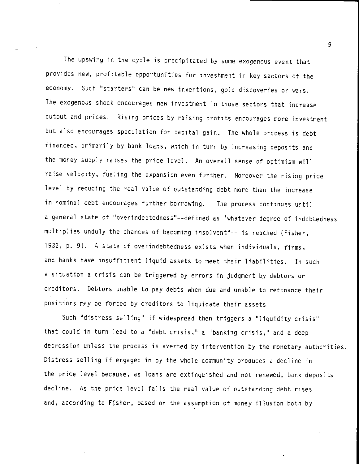The upswing in the cycle is precipitated by some exogenous event that provides new, profitable opportunities for investment in key sectors of the economy. Such 'starters" can be new inventions, gold discoveries or wars. The exogenous shock encourages new investment in those sectors that increase output and prices. Rising prices by raising profits encourages more investment but also encourages speculation for capital gain. The whole process is debt financed, primarily by bank loans, which in turn by increasing deposits and the money supply raises the price level. An overall sense of optimism will raise velocity, fueling the expansion even further. Moreover the rising price level by reducing the real value of outstanding debt more than the increase in nominal debt encourages further borrowing. The process continues until a general state of "overindebtedness"——defjned as 'whatever degree of indebtedness multiplies unduly the chances of becoming insolvent"—— is reached (Fisher, 1932, p. 9). A state of overindebtedness exists when individuals, firms, and banks have insufficient liquid assets to meet their liabilities. In such a situation a crisis can be triggered by errors in judgment by debtors or creditors. Debtors unable to pay debts when due and unable to refinance their positions may be forced by creditors to liquidate their assets

Such "distress selling" if widespread then triggers a "liquidity crisis" that could in turn lead to a "debt crisis," a "banking crisis," and a deep depression unless the process is averted by intervention by the monetary authorities.. Distress selling if engaged in by the whole community produces a decline in the price level because, as loans are extinguished and not renewed, bank deposits decline. As the price level falls the real value of outstanding debt rises and, according to Fjsher, based on the assumption of money illusion both by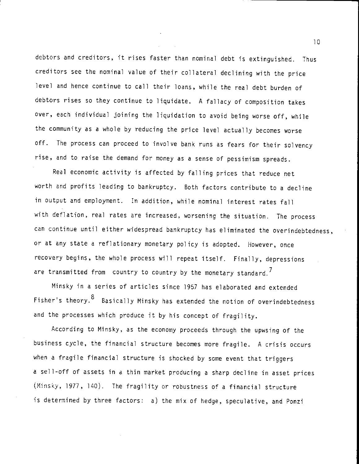debtors and creditors, it rises faster than nominal debt is extinguished. Thus creditors see the nominal value of their collateral declining with the price level and hence continue to call their loans, while the real debt burden of debtors rises so they continue to liquidate. A fallacy of composition takes over, each individual joining the liquidation to avoid being worse off, while the community as a whole by reducing the price level actually becomes worse off. The process can proceed to involve bank runs as fears for their solvency rise, and to raise the demand for money as a sense of pessimism spreads.

Real economic activity is affected by falling prices that reduce net worth and profits leading to bankruptcy. Both factors contribute to a decline in output and employment. In addition, while nominal interest rates fall with deflation, real rates are increased, worsening the situation. The process can continue until either widespread bankruptcy has eliminated the overindebtedness, or at any state a reflationary monetary policy is adopted. However, once recovery begins, the whole process will repeat itself. Finally, depressions are transmitted from country to country by the monetary standard.

Minsky in a series of articles since 1957 has elaborated and extended Fisher's theory.<sup>8</sup> Basically Minsky has extended the notion of overindebtedness and the processes which produce it by his concept of fragility.

According to Minsky, as the economy proceeds through the upwsing of the business cycle, the financial structure becomes more fragile. A crisis occurs when a fragile financial structure is shocked by some event that triggers a sell-off of assets in a thin market producing a sharp decline in asset prices (Minsky, 1977, 140). The fragility or robustness of a financial structure is determined by three factors: a) the mix of hedge, speculative, and Ponzi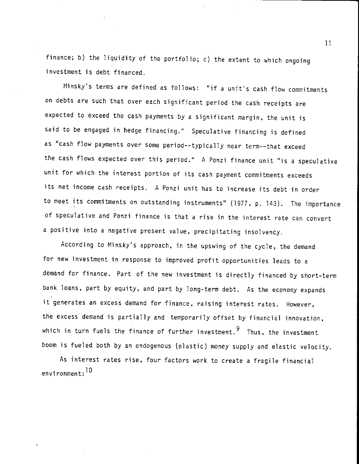finance; b) the liquidity of the portfolio; c) the extent to which ongoing investment is debt financed.

Minsky's terms are defined as follows: "if a unit's cash flow commitments on debts are such that over each significant period the cash receipts are expected to exceed the cash payments by a significant margin, the unit is said to be engaged in hedge financing." Speculative financing is defined as "cash flow payments over some period——typically near term-—that exceed the cash flows expected over this period." A Ponzi finance unit "is a speculative unit for which the interest portion of its cash payment commitments exceeds its net income cash receipts. A Ponzi unit has to increase its debt in order to meet its commitments on outstanding instruments" (1977, p. 143). The importance of speculative and Ponzi finance is that a rise in the interest rate can convert a positive into a negative present value, precipitating insolvency.

According to Minsky's approach, in the upswing of the cycle, the demand for new investment in response to improved profit opportunities leads to a demand for finance. Part of the new investment is directly financed by short-term bank loans, part by equity, and part by long-term debt. As the economy expands it generates an excess demand for finance, raising interest rates. However, the excess demand is partially and temporarily offset by financial innovation, which in turn fuels the finance of further investment.  $9$  Thus, the investment boom is fueled both by an endogenous (elastic) money supply and elastic velocity.

As interest rates rise, four factors work to create a fragile financial envi ronment: <sup>10</sup>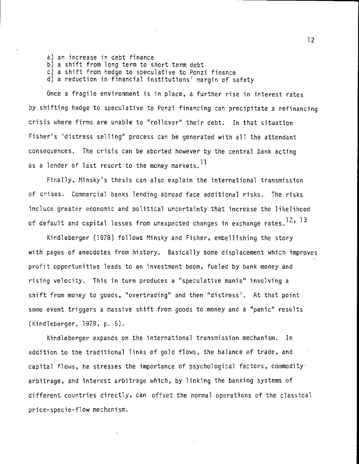a) an increase in debt finance

b) a shift from long term to short term debt

c) a shift from hedge to speculative to Ponzi finance

d) a reduction in financial institutions' margin of safety

Once a fragile environment is in place, a further rise in interest rates by shifting hedge to speculative to Ponzi financing can precipitate a refinancing crisis where firms are unable to "rollover" their debt. In that situation Fisher's "distress selling" process can be generated with all the attendant consequences. The crisis can be aborted however by the central bank acting as a lender of last resort to the money markets.<sup>11</sup>

Finally, Minsky's thesis can also explain the international transmission of crises. Commercial banks lending abroad face additional risks. The risks include greater economic and political uncertainty that increase the likelihood of default and capital losses from unexpected changes in exchange rates.  $12$ ,  $13$ 

Kindleberger (1978) follows Minsky and Fisher, embellishing the story with pages of anecdotes from history. Basically some displacement which improves profit opportunities leads to an investment boom, fueled by bank money and rising velocity. This in turn produces a "speculative mania" involving a shift from money to goods, "overtrading" and then "distress". At that point some event triggers a massive shift from goods to money and a "panic" results (Kindleberger, 1978, p. 5).

Kindleberger expands on the international transmission mechanism. In addition to the traditional links of gold flows, the balance of trade, and capital flows, he stresses the importance of psychological factors, commodity arbitrage, and interest arbitrage which, by linking the banking systems of different countries directly, can offset the normal operations of the classical price—specie—flow mechanism.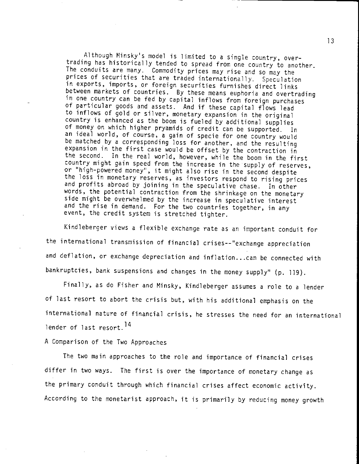Although Minsky's model is limited to a single country, over trading has historically tended to spread from one country to another. The conduits are many. Commodity prices may rise and so may the prices of securities that are traded internationally. Speculation in exports, imports, or foreign securities furnishes direct links between markets of countries. By these means euphoria and overtrading<br>in one country can be fed by capital inflows from foreign purchases of particular goods and assets. And if these capital flows lead<br>to inflows of gold or silver, monetary expansion in the original country is enhanced as the boom is fueled by additional supplies of money on which higher pryamids of credit can be supported. In an ideal world, of course, a gain of specie for one country would<br>be matched by a corresponding loss for another, and the resulting expansion in the first case would be offset by the contraction in the second. In the real world, however, while the boom in the first country might gain speed from the increase in the supply of reserves, or "high-powered money", it might also rise in the second despite the loss in monetary reserves, as investors respond to rising prices and profits abroad by joining in the speculative chase. In other words, the potential contraction from the shrinkage on the monetary side might be overwhelmed by the increase in speculative interest and the rise in demand. For the two countries together, in any event, the credit system is stretched tighter.

Kindleberger views a flexible exchange rate as an important conduit for the international transmission of financial crises--"exchange appreciation and deflation, or exchange depreciation and inflation.. .can be connected with bankruptcies, bank suspensions and changes in the money supply" (p. 119).

Finally, as do Fisher and Minsky, Kindleberger assumes a role to a lender of last resort to abort the crisis but, with his additional emphasis on the international nature of financial crisis, he stresses the need for an international lender of last resort.<sup>14</sup>

A Comparison of the Two Approaches

The two main approaches to the role and importance of financial crises differ in two ways. The first is over the importance of monetary change as the primary conduit through which financial crises affect economic activity. According to the monetarist approach, it is primarily by reducing money growth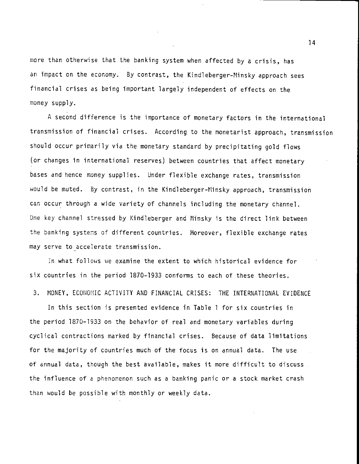more than otherwise that the banking system when affected by a crisis, has an impact on the economy. By contrast, the Kindleberger—Minsky approach sees financial crises as being important largely independent of effects on the money supply.

A second difference is the importance of monetary factors in the international transmission of financial crises. According to the monetarist approach, transmission should occur primarily via the monetary standard by precipitating gold flows (or changes in international reserves) between countries that affect monetary bases and hence money supplies. Under flexible exchange rates, transmission would be muted. By contrast, in the Kindleberger-Minsky approach, transmission can occur through a wide variety of channels including the monetary channel. One key channel stressed by Kindleberger and Minsky is the direct link between the banking systems of different countries. Moreover, flexible exchange rates may serve to accelerate transmission.

In what follows we examine the extent to which historical evidence for six countries in the period 1870—1933 conforms to each of these theories.

3. MONEY, ECONOMIC ACTIVITY AND FINANCIAL CRISES: THE INTERNATIONAL EVIDENCE

In this section is presented evidence in Table 1 for six countries in the period 1870—1933 on the behavior of real and monetary variables during cyclical contractions marked by financial crises. Because of data limitations for the majority of countries much of the focus is on annual data. The use of annual data, though the best available, makes it more difficult to discuss the influence of a phenomenon such as a banking panic or a stock market crash than would be possible with monthly or weekly data.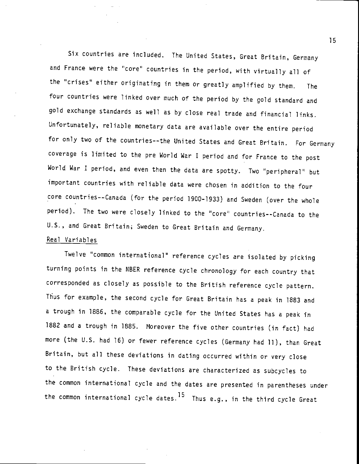Six countries are included. The United States, Great Britain, Germany and France were the "core" countries in the period, with virtually all of the "crises' either originating in them or greatly amplified by them. The four countries were linked over much of the period by the gold standard and gold exchange standards as well as by close real trade and financial links. Unfortunately, reliable monetary data are available over the entire period for only two of the countries--the United States and Great Britain. For Germany coverage is limited to the pre World War I period and for France to the post World War I period, and even then the data are spotty. Two "peripheral" but important countries with reliable data were chosen in addition to the four •core countries——canada (for the period 1900—1933) and Sweden (over the whole period). The two were closely linked to the "core" countries—-canada to the U.S., and Great Britain; Sweden to Great Britain and Germany.

# Real Variables

Twelve "common international" reference cycles are isolated by picking turning points in the NBER reference cycle chronology for each country that corresponded as closely as possible to the British reference cycle pattern. Thus for example, the second cycle for Great Britain has a peak in 1883 and a trough in 1886, the comparable cycle for the United States has a peak in 1882 and a trough in 1885. Moreover the five other countries (in fact) had more (the U.S. had 16) or fewer reference cycles (Germany had 11), than Great Britain, but all these deviations in dating occurred within or very close to the British cycle. These deviations are characterized as subcycles to the common international cycle and the dates are presented in parentheses under the common international cycle dates.<sup>15</sup> Thus e.g., in the third cycle Great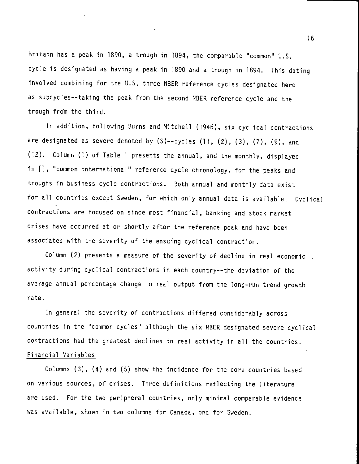Britain has a peak in 1890, a trough in 1894, the comparable "common" U.S. cycle is designated as having a peak in 1890 and a trough in 1894. This dating involved combining for the U.S. three NBER reference cycles designated here as subcycles—-taking the peak from the second NBER reference cycle and the trough from the third.

In addition, following Burns and Mitchell (1946), six cyclical contractions are designated as severe denoted by  $(S)$ --cycles  $(1)$ ,  $(2)$ ,  $(3)$ ,  $(7)$ ,  $(9)$ , and (12). Column (1) of Table 1 presents the annual, and the monthly, displayed in [], "common international" reference cycle chronology, for the peaks and troughs in business cycle contractions. Both annual and monthly data exist for all countries except Sweden, for which only annual data is available. Cyclical contractions are focused on since most financial, banking and stock market crises have occurred at or shortly after the reference peak and have been associated with the severity of the ensuing cyclical contraction.

Column (2) presents a measure of the severity of decline in real economic activity during cyclical contractions in each country——the deviation of the average annual percentage change in real output from the long-run trend growth rate.

In general the severity of contractions differed considerably across countries in the "common cycles" although the six NBER designated severe cyclical contractions had the greatest declines in real activity in all the countries. Financial Variables

Columns (3), (4) and (5) show the incidence for the core countries based on various sources, of crises. Three definitions reflecting the literature are used. For the two peripheral countries, only minimal comparable evidence was available, shown in two columns for Canada, one for Sweden.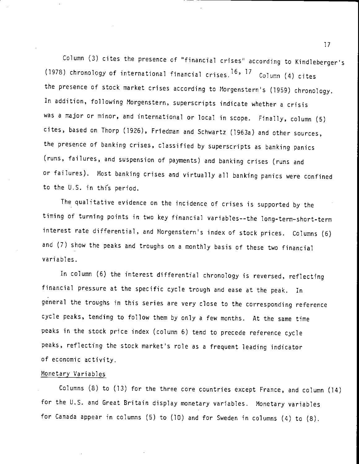Column (3) cites the presence of "financial crises" according to Kindleberger's (1978) chronology of international financial crises.<sup>16, 17</sup> Column (4) cites the presence of stock market crises according to Morgenstern's (1959) chronology. In addition, following Morgenstern, superscripts indicate whether a crisis was a major or minor, and international or local in scope. Finally, column (5) cites, based on Thorp (1926), Friedman and Schwartz (1963a) and other sources, the presence of banking crises, classified by superscripts as banking panics (runs, failures, and suspension of payments) and banking crises (runs and or failures). Most banking crises and virtually all banking panics were confined to the U.S. in thi's period.

The qualitative evidence on the incidence of crises is supported by the timing of turning points in two key financial variables--the long-term-short-term interest rate differential, and Morgenstern's index of stock prices. Columns (6) and (7) show the peaks and troughs on a monthly basis of these two financial variables.

In column (6) the interest differential chronology is reversed, reflecting financial pressure at the specific cycle trough and ease at the peak. In general the troughs in this series are very close to the corresponding reference cycle peaks, tending to follow them by only a few months. At the same time peaks in the stock price index (column 6) tend to precede reference cycle peaks, reflecting the stock market's role as a frequent leading indicator of economic activity.

#### Monetary Variables

Columns (8) to (13) for the three core countries except France, and column (14) for the U.S. and Great Britain display monetary variables. Monetary variables for Canada appear in columns (5) to (10) and for Sweden in columns (4) to (8).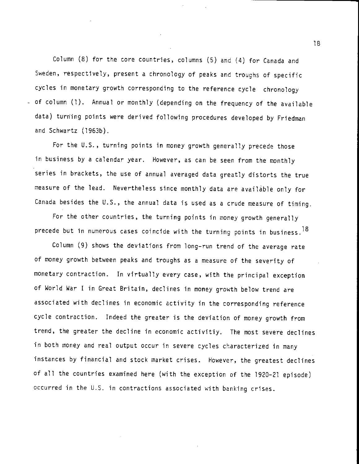Column (8) for the core countries, columns (5) and (4) for Canada and Sweden, respectively, present a chronology of peaks and troughs of specific cycles in monetary growth corresponding to the reference cycle chronology - of column (1). Annual or monthly (depending on the frequency of the available data) turning points were derived following procedures developed by Friedman and Schwartz (1963b).

For the U.S., turning points in money growth generally precede those in business by a calendar year. However, as can be seen from the monthly series in brackets, the use of annual averaged data greatly distorts the true measure of the lead. Nevertheless since monthly data are available only for Canada besides the U.S., the annual data is used as a crude measure of timing.

For the other countries, the turning points in money growth generally precede but in numerous cases coincide with the turning points in business.<sup>18</sup>

Column (9) shows the deviations from long—run trend of the average rate of money growth between peaks and troughs as a measure of the severity of monetary contraction. In virtually every case, with the principal exception of World War I in Great Britain, declines in money growth below trend are associated with declines in economic activity in the corresponding reference cycle contraction. Indeed the greater is the deviation of money growth from trend, the greater the decline in economic activitiy. The most severe declines in both money and real output occur in severe cycles characterized in many instances by financial and stock market crises. However, the greatest declines of all the countries examined here (with the exception of the 1920—21 episode) occurred in the U.S. in contractions associated with banking crises.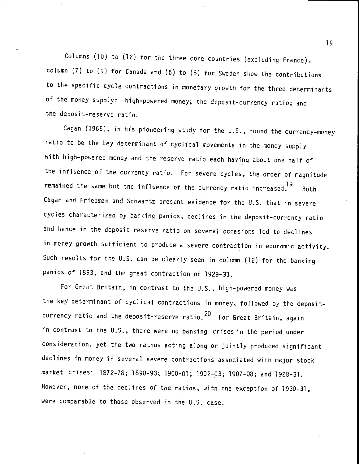Columns (10) to (12) for the three core countries (excluding France), column (7) to (9) for Canada and (6) to (8) for Sweden show the contributions to the specific cycle contractions in monetary growth for the three determinants of the money supply: high-powered money; the deposit-currency ratio; and the deposit—reserve ratio.

Cagan (1965), in his pioneering study for the U.S., found the currency-money ratio to be the key determinant of cyclical movements in the noney supply with high—powered money and the reserve ratio each having about one half of the influence of the currency ratio. For severe cycles, the order of magnitude remained the same but the influence of the currency ratio increased.  $^{19}$  Both Cagan and Friedman and Schwartz present evidence for the U.S. that in severe cycles characterized by banking panics, declines in the deposit—currency ratio and hence in the deposit reserve ratio on several occasions led to declines in money growth sufficient to produce a severe contraction in economic activity. Such results for the U.S. can be clearly seen in column (12) for the banking panics of 1893, and the great contraction of 1929—33.

For Great Britain, in contrast to the U.S., high-powered money was the key determinant of cyclical contractions in money, followed by the depositcurrency ratio and the deposit-reserve ratio. $^{20}$  For Great Britain, again in contrast to the U.S., there were no banking crises in the period under consideration, yet the two ratios acting along or jointly produced significant declines in money in several severe contractions associated with major stock market crises: 1872-78; 1890—93; 1900-01; 1902—03; 1907-08; and 1928—31. However, none of the declines of the ratios, with the exception of 1930-31, were comparable to those observed in the U.S. case.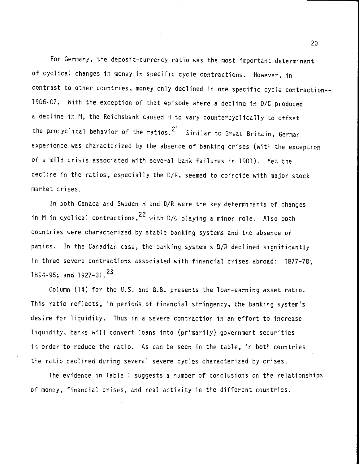For Germany, the deposit—currency ratio was the most important determinant of cyclical changes in money in specific cycle contractions. However, in contrast to other countries, money only declined in one specific cycle contraction--1906—07. With the exception of that episode where a decline in D/C produced a decline in M, the Reichsbank caused H to vary countercyclically to offset the procyclical behavior of the ratios.<sup>21</sup> Similar to Great Britain, German experience was characterized by the absence of banking crises (with the exception of a mild crisis associated with several bank failures in 1901). Yet the decline in the ratios, especially the D/R, seemed to coincide with major stock market crises.

In both Canada and Sweden H and D/R were the key determinants of changes in M in cyclical contractions,  $22$  with D/C playing a minor role. Also both countries were characterized by stable banking systems and the absence of panics. In the Canadian case, the banking system's D/R declined significantly in three severe contractions associated with financial crises abroad: 1877—78; 1894-95; and 1927-31.<sup>23</sup>

Column (14) for the U.S. and G.B. presents the loan—earning asset ratio. This ratio reflects, in periods of financial stringency, the banking system's desire for liquidity. Thus in a severe contraction in an effort to increase liquidity, banks will convert loans into (primarily) government securities in order to reduce the ratio. As can be seen in the table, in both countries the ratio declined during several severe cycles characterized by crises.

The evidence in Table 1 suggests a number of conclusions on the relationships of money, financial crises, and real activity in the different countries.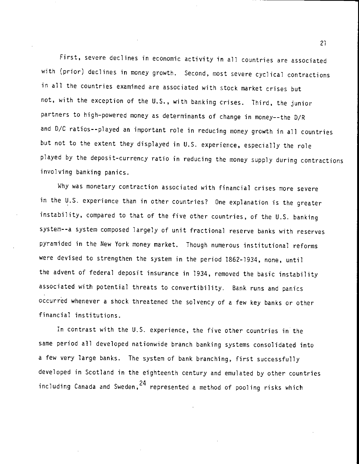First, severe declines in economic activity in all countries are associated with (prior) declines in money growth. Second, most severe cyclical contractions in all the countries examined are associated with stock market crises but not, with the exception of the U.S., with banking crises. Third, the junior partners to high-powered money as determinants of change in money--the D/R and D/C ratios——played an important role in reducing money growth in all countries but not to the extent they displayed in U.S. experience, especially the role played by the deposit—currency ratio in reducing the money supply during contractions involving banking panics.

Why was monetary contraction associated with financial crises more severe in the U.S. experience than in other countries? One explanation is the greater instability, compared to that of the five other countries, of the U.S. banking system--a system composed largely of unit fractional reserve banks with reserves pyramided in the New York money market. Though numerous institutional reforms were devised to strengthen the system in the period 1862—1934, none, until the advent of federal deposit insurance in 1934, removed the basic instability associated with potential threats to convertibility. Bank runs and panics occurred whenever a shock threatened the solvency of a few key banks or other financial institutions.

In contrast with the U.S. experience, the five other countries in the sane period all developed nationwide branch banking systems consolidated into a few very large banks. The system of bank branching, first successfully developed in Scotland in the eighteenth century and emulated by other countries including Canada and Sweden,24 represented a method of pooling risks which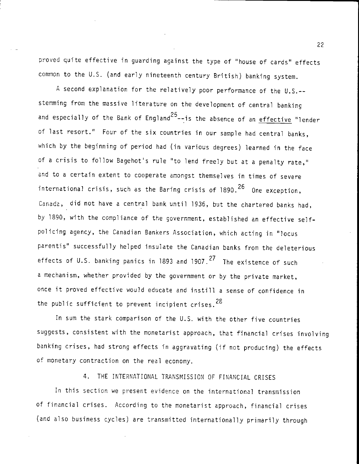proved quite effective in guarding against the type of "house of cards" effects common to the U.S. (and early nineteenth century British) banking system.

A second explanation for the relatively poor performance of the U.S.— stemming from the massive literature on the development of central banking and especially of the Bank of England<sup>25</sup>--is the absence of an effective "lender of last resort." Four of the six countries in our sample had central banks, which by the beginning of period had (in various degrees) learned in the face of a crisis to follow Bagehot's rule "to lend freely but at a penalty rate," and to a certain extent to cooperate amongst themselves in times of severe international crisis, such as the Baring crisis of  $1890.^26$  One exception, Canada, did not have a central bank until 1936, but the chartered banks had, by 1890, with the compliance of the government, established an effective selfpolicing agency, the Canadian Bankers Association, which acting in "locus parentis" successfully helped insulate the Canadian banks from the deleterious effects of U.S. banking panics in 1893 and 1907. $27$  The existence of such a mechanism, whether provided by the government or by the private market, once it proved effective would educate and instill a sense of confidence in the public sufficient to prevent incipient crises.<sup>28</sup>

In sum the stark comparison of the U.S. with the other five countries suggests, consistent with the monetarist approach, that financial crises involving banking crises, had strong effects in aggravating (if not producing) the effects of monetary contraction on the real economy.

4. THE INTERNATIONAL TRANSMISSION OF FINANCIAL CRISES

In this section we present evidence on the international transmission of financial crises. According to the monetarist approach, financial crises (and also business cycles) are transmitted internationally primarily through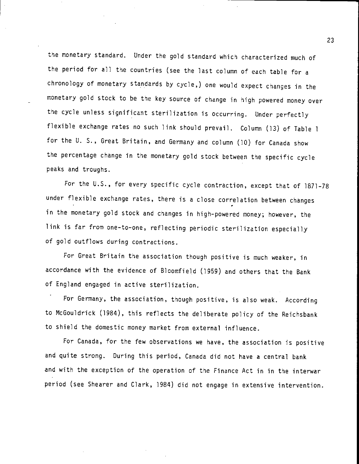the monetary standard. Under the gold standard which characterized much of the period for all the countries (see the last column of each table for a chronology of monetary standards by cycle,) one would expect changes in the monetary gold stock to be the key source of change in high powered money over the cycle unless significant sterilization is occurring. Under perfectly flexible exchange rates no such link should prevail. Column (13) of Table 1 for the U. S., Great Britain, and Germany and column (10) for Canada show the percentage change in the monetary gold stock between the specific cycle peaks and troughs.

For the U.S., for every specific cycle contraction, except that of 1871-78 under flexible exchange rates, there is a close correlation between changes in the monetary gold stock and changes in high—powered money; however, the link is far from one-to-one, reflecting periodic sterilization especially of gold outflows during contractions.

For Great Britain the association though positive is much weaker, in accordance with the evidence of Bloomfield (1959) and others that the Bank of England engaged in active sterilization.

For Germany, the association, though positive, is also weak. According to McGouldrick (1984), this reflects the deliberate policy of the Reichsbank to shield the domestic money market from external influence.

For Canada, for the few observations we have, the association is positive and quite strong. During this period, Canada did not have a central bank and with the exception of the operation of the Finance Act in in the interwar period (see Shearer and Clark, 1984) did not engage in extensive intervention.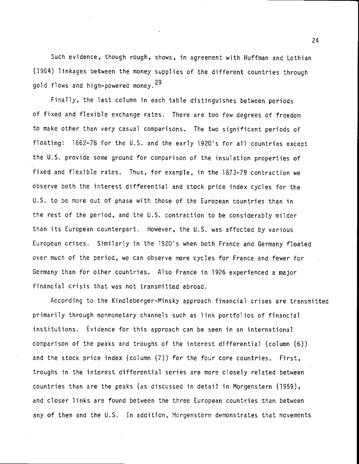Such evidence, though rough, shows, in agreement with Huffman and Lothian (1984) linkages between the money supplies of the different countries through gold flows and high-powered money.<sup>29</sup>

Finally, the last column in each table distinguishes between periods of fixed and flexible exchange rates. There are too few degrees of freedom to make other than very casual comparisons. The two significant periods of floating: 1862—78 for the U.S. and the early 1920's for all countries except the U.S. provide some ground for comparison of the insulation properties of fixed and flexible rates. Thus, for example, in the 1873—79 contraction we observe both the interest differential and stock price index cycles for the U.S. to be more out of phase with those of the European countries than in the rest of the period, and the U.S. contraction to be considerably milder than its European counterpart. However, the U.S. was affected by various European crises. Similarly in the 1920's when both France and Germany floated over much of the period, we can observe more cycles for France and fewer for Germany than for other countries. Also France in 1926 experienced a major financial crisis that was not transmitted abroad.

According to the Kindleberger—Minsky approach financial crises are transmitted primarily through nonmonetary channels such as link portfolios of financial institutions. Evidence for this approach can be seen in an international comparison of the peaks and troughs of the interest differential (column (6)) and the stock price index (column (7)) for the four core countries. First, troughs in the interest differential series are more closely related between countries than are the peaks (as discussed in detail in Morgenstern (1959), and closer links are found between the three European countries than between any of them and the U.S. In addition, Morgenstern demonstrates that movements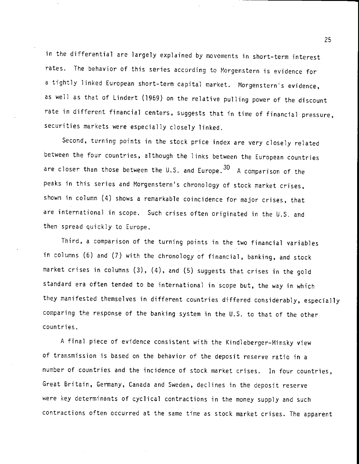in the differential are largely explained by movements in short—term interest rates. The behavior of this series according to Morgenstern is evidence for a tightly linked European short—tern capital market. Morgenstern's evidence, as well as that of Lindert (1969) on the relative pulling power of the discount rate in different financial centers, suggests that in time of financial pressure, securities markets were especially closely linked.

Second, turning points in the stock price index are very closely related between the four countries, although the links between the European countries are closer than those between the U.S. and Europe.  $30$  A comparison of the peaks in this series and Morgenstern's chronology of stock market crises, shown in column (4) shows a remarkable coincidence for major crises, that are international in scope. Such crises often originated in the U.S. and then spread quickly to Europe.

Third, a comparison of the turning points in the two financial variables in columns (6) and (7) with the chronology of financial, banking, and stock market crises in columns (3), (4), and (5) suggests that crises in the gold standard era often tended to be international in scope but, the way in which they manifested themselves in different countries differed considerably, especially comparing the response of the banking system in the U.S. to that of the other countries.

A final piece of evidence consistent with the Kindleberger—Minsky view of transmission is based on the behavior of the deposit reserve ratio in a number of countries and the incidence of stock market crises. In four countries, Great Britain, Germany, Canada and Sweden, declines in the deposit reserve were key determinants of cyclical contractions in the money supply and such contractions often occurred at the same time as stock market crises. The apparent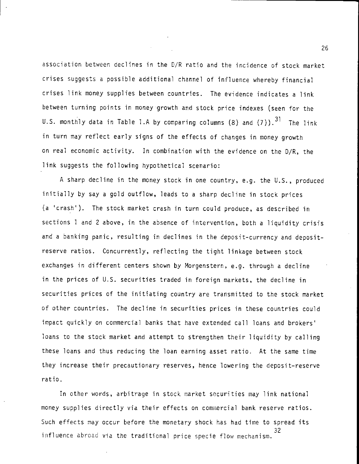association between declines in the D/R ratio and the incidence of stock market crises suggests a possible additional channel of influence whereby financial crises link money supplies between countries. The evidence indicates a link between turning points in money growth and stock price indexes (seen for the U.S. monthly data in Table 1.A by comparing columns  $(8)$  and  $(7)$ ).<sup>31</sup> The link in turn may reflect early signs of the effects of changes in money growth on real economic activity. In combination with the evidence on the D/R, the link suggests the following hypothetical scenario:

A sharp decline in the money stock in one country, e.g. the U.S., produced initially by say a gold outflow, leads to a sharp decline in stock prices (a 'crash'). The stock market crash in turn could produce, as described in sections 1 and 2 above, in the absence of intervention, both a liquidity crisis and a banking panic, resulting in declines in the deposit—currency and deposit reserve ratios. Concurrently, reflecting the tight linkage between stock exchanges in different centers shown by Morgenstern, e.g. through a decline in the prices of U.S. securities traded in foreign markets, the decline in securities prices of the initiating country are transmitted to the stock market of other countries. The decline in securities prices in these countries could impact quickly on commercial banks that have extended call loans and brokers' loans to the stock market and attempt to strengthen their liquidity by calling these loans and thus reducing the loan earning asset ratio. At the same time they increase their precautionary reserves, hence lowering the deposit—reserve ratio.

In other words, arbitrage in stock market securities may link national money supplies directly via their effects on commercial bank reserve ratios. Such effects may occur before the monetary shock has had time to spread its 32 influence abroad via the traditional price specie flow mechanism.

2€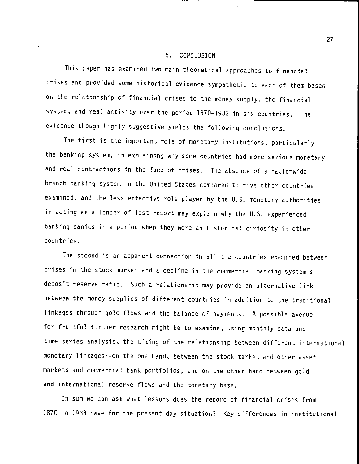# 5. CONCLUSION

This paper has examined two main theoretical approaches to financial crises and provided some historical evidence sympathetic to each of them based on the relationship of financial crises to the money supply, the financial system, and real activity over the period 1870—1933 in six countries. The evidence though highly suggestive yields the following conclusions.

The first is the important role of monetary institutions, particularly the banking system, in explaining why some countries had more serious monetary and real contractions in the face of crises. The absence of a nationwide branch banking system in the United States compared to five other countries examined, and the less effective role played by the U.S. monetary authorities in acting as a lender of last resort may explain why the U.S. experienced banking panics in a period when they were an historical curiosity in other countries.

The second is an apparent connection in all the countries examined between crises in the stock market and a decline in the commercial banking system's deposit reserve ratio. Such a relationship may provide an alternative link between the money supplies of different countries in addition to the traditional linkages through gold flows and the balance of payments. A possible avenue for fruitful further research might be to examine, using monthly data and time series analysis, the timing of the relationship between different international monetary linkages——on the one hand, between the stock market and other asset markets and commercial bank portfolios, and on the other hand between gold and international reserve flows and the monetary base.

In sun we can ask what lessons does the record of financial crises from 1870 to 1933 have for the present day situation? Key differences in institutional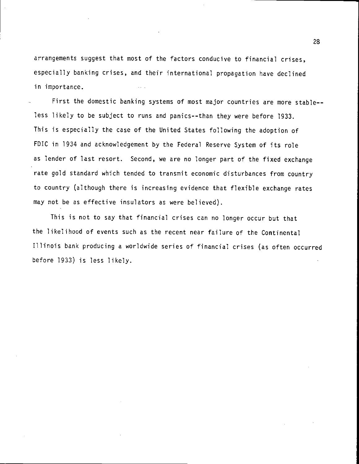arrangements suggest that most of the factors conducive to financial crises, especially banking crises, and their international propagation have declined in importance.

First the domestic banking systems of most major countries are more stable— less likely to be subject to runs and panics--than they were before 1933. This is especially the case of the United States following the adoption of FDIC in 1934 and acknowledgement by the Federal Reserve System of its role as lender of last resort. Second, we are no longer part of the fixed exchange rate gold standard which tended to transmit economic disturbances from country to country (although there is increasing evidence that flexible exchange rates may not be as effective insulators as were believed).

This is not to say that financial crises can no longer occur but that the likelihood of events such as the recent near failure of the Continental Illinois bank producing a worldwide series of financial crises (as often occurred before 1933) is less likely.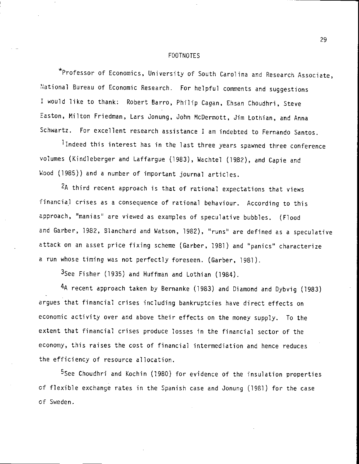#### FOOTNOTES

\*professor of Economics, University of South Carolina and Research Associate, National Bureau of Economic Research. For helpful comments and suggestions I would like to thank: Robert Barro, Philip Cagan, Ehsan Choudhri, Steve Faston, Milton Friedman, Lars Jonung, John McDermott, Jim Lothian, and Anna Schwartz. For excellent research assistance I am indebted to Fernando Santos.

1lndeed this interest has in the last three years spawned three conference volumes (Kindleberger and Laffargue (1983), Wachtel (1982), and Capie and Wood (1985)) and a number of important journal articles.

2A third recent approach is that of rational expectations that views financial crises as a consequence of rational behaviour. According to this approach, "manias" are viewed as examples of speculative bubbles. (Flood and Garber, 1982, Blanchard and Watson, 1982), 'runs" are defined as a speculative attack on an asset price fixing scheme (Garber, 1981) and 'panics' characterize a run whose timing was not perfectly foreseen. (Garber, 1981).

3See Fisher (1935) and Huffman and Lothian (1984).

4A recent approach taken by Bernanke (1983) and Diamond and Dybvig (1983) argues that financial crises including bankruptcies have direct effects on economic activity over and above their effects on the money supply. To the extent that financial crises produce losses in the financial sector of the economy, this raises the cost of financial intermediation and hence reduces the efficiency of resource allocation.

5See Choudhri and Kochin (1980) for evidence of the insulation properties of flexible exchange rates in the Spanish case and Jonung (1981) for the case of Sweden.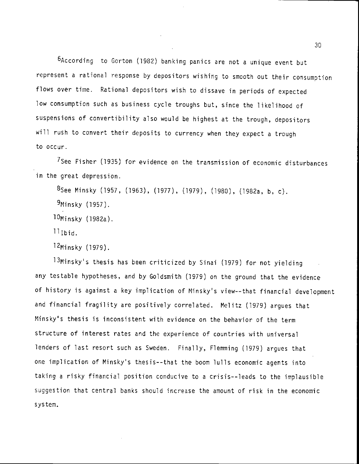6According to Gorton (1982) banking panics are not a unique event but represent a rational response by depositors wishing to smooth out their consumption flows over time. Rational depositors wish to dissave in periods of expected low consumption such as business cycle troughs but, since the likelihood of suspensions of convertibility also would be highest at the trough, depositors will rush to convert their deposits to currency when they expect a trough to occur.

7See Fisher (1935) for evidence on the transmission of economic disturbances in the great depression.

 $8$ See Minsky (1957, (1963), (1977), (1979), (1980), (1982a, b, c).

9Minsky (1957).

10Minsky (1982a).

11 Ibid.

12Minsky (1979).

13Minsky's thesis has been criticized by Sinai (1979) for not yielding any testable hypotheses, and by Goldsmith (1979) on the ground that the evidence of history is against a key implication of Minsky's view--that financial development and financial fragility are positively correlated. Melitz (1979) argues that Minsky's thesis is inconsistent with evidence on the behavior of the term structure of interest rates and the experience of countries with universal lenders of last resort such as Sweden. Finally, Flemming (1979) argues that one implication of Minsky's thesis——that the boom lulls economic agents into taking a risky financial position conducive to a crisis——leads to the implausible suggestion that central banks should increase the amount of risk in the economic system.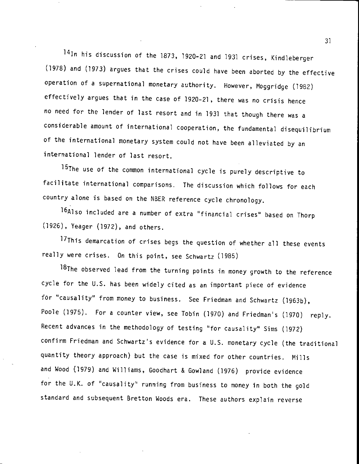141n his discussion of the 1873, 1920—21 and 1931 crises, Kindleberger (1978) and (1973) argues that the crises could have been aborted by the effective operation of a supernationa] monetary authority. However, Moggridge (1982) effectively argues that in the case of 1920-21 , there was no crisis hence no need for the lender of last resort and in 1931 that though there was a considerable amount of international cooperation, the fundamental disequilibrium of the international monetary system could not have been alleviated by an international lender of last resort.

15The use of the common international cycle is purely descriptive to facilitate international comparisons. The discussion which follows for each country alone is based on the NBER reference cycle chronology.

16Also included are a number of extra "financial crises" based on Thorp (1926), Veager (1972), and others.

17This demarcation of crises begs the question of whether all these events really were crises. On this point, see Schwartz (1985)

18The observed lead from the turning points in money growth to the reference cycle for the U.S. has been widely cited as an important piece of evidence for "causality" from money to business. See Friedman and Schwartz (l963b), Poole (1975). For a counter view, see Tobin (1970) and Friedman's (1970) reply. Recent advances in the methodology of testing "for causality" Sims (1972) confirm Friedman and Schwartz's evidence for a U.S. monetary cycle (the traditional quantity theory approach) but the case is mixed for other countries. Mills and Wood (1979) and Williams, Goodhart & Gowland (1976) provide evidence for the U.K. of "causality" running from business to money in both the gold standard and subsequent Bretton Woods era. These authors explain reverse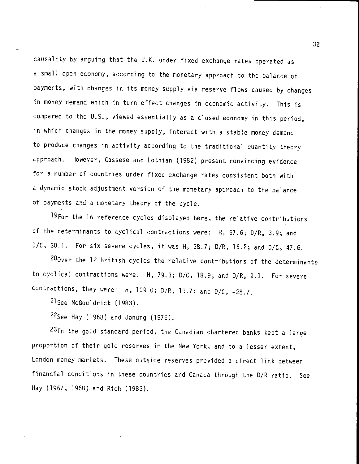causality by arguing that the U.K. under fixed exchange rates operated as a small open economy, according to the monetary approach to the balance of payments, with changes in its money supply via reserve flows caused by changes in money demand which in turn effect changes in economic activity. This is compared to the U.S., viewed essentially as a closed economy in this period, in which changes in the money supply, interact with a stable money demand to produce changes in activity according to the traditional quantity theory approach. However, Cassese and Lothian (1982) present convincing evidence for a number of countries under fixed exchange rates consistent both with a dynamic stock adjustment version of the monetary approach to the balance of payments and a monetary theory of the cycle.

19For the 16 reference cycles displayed here, the relative contributions of the determinants to cyclical contractions were: H, 67.6; D/R, 3.9; and  $D/C$ , 30.1. For six severe cycles, it was H, 38.7; D/R, 16.2; and D/C, 47.6.

200ver the 12 British cycles the relative contributions of the determinants to cyclical contractions were: H, 79.3; D/C, 18.9; and D/R, 9.1. For severe contractions, they were:  $H$ , 109.0;  $D/R$ , 19.7; and  $D/C$ , -28.7.

21See McGouldrick (1983).

22See Hay (1968) and Jonung (1976).

 $^{23}$ In the gold standard period, the Canadian chartered banks kept a large proportion of their gold reserves in the New York, and to a lesser extent, London money markets. These outside reserves provided a direct link between financial conditions in these countries and Canada through the D/R ratio. See Hay (1967, 1968) and Rich (1983).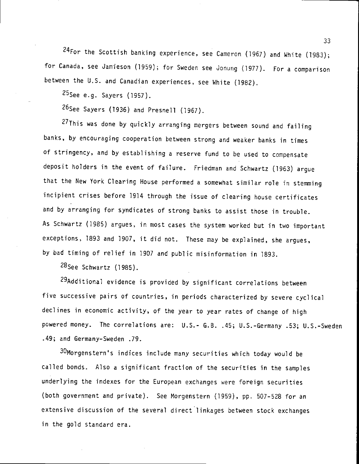24For the Scottish banking experience, see Cameron (1967) and White (1983); for Canada, see Jamieson (1959); for Sweden see Jonung (1977). For a comparison between the U.S. and Canadian experiences, see White (1982).

25See e.g. Sayers (1957).

26See Sayers (1936) and Presnell (1967).

27This was done by quickly arranging mergers between sound and failing banks, by encouraging cooperation between strong and weaker banks in times of stringency, and by establishing a reserve fund to be used to compensate deposit holders in the event of failure. Friedman and Schwartz (1963) argue that the New York Clearing House performed a somewhat similar role in stemming incipient crises before 1914 through the issue of clearing house certificates and by arranging for syndicates of strong banks to assist those in trouble. As Schwartz (1985) argues, in most cases the system worked but in two important exceptions, 1893 and 1907, it did not. These may be explained, she argues, by bad timing of relief in 1907 and public misinformation in 1893.

28See Schwartz (1985).

29Additional evidence is provided by significant correlations between five successive pairs of countries, in periods characterized by severe cyclical declines in economic activity, of the year to year rates of change of high powered money. The correlations are: U.S.- G.B. .45; U.S.-Germany .53; U.S.-Sweden .49; and Germany—Sweden .79.

 $30$ Morgenstern's indices include many securities which today would be called bonds. Also a significant fraction of the securities in the samples underlying the indexes for the European exchanges were foreign securities (both government and private). See Morgenstern (1959), pp. 507-528 for an extensive discussion of the several direct linkages between stock exchanges in the gold standard era.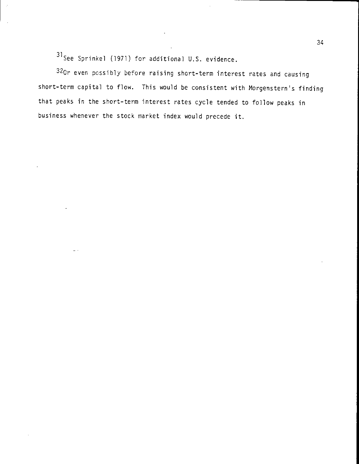31 See Sprinkel (1971) for additional U.S. evidence.

320r even possibly before raising short-term interest rates and causing short—term capital to flow. This would be consistent with Morgenstern's finding that peaks in the short—term interest rates cycle tended to follow peaks in business whenever the stock market index would precede it.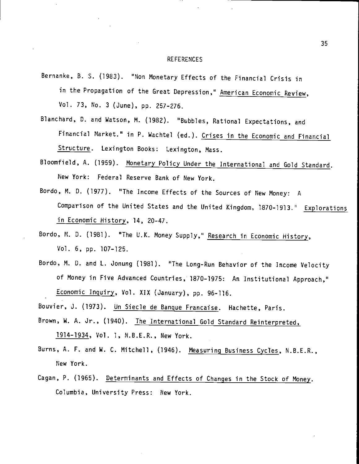#### **REFERENCES**

- Bernanke, 8. 5. (1983). "Non Monetary Effects of the Financial Crisis in in the Propagation of the Great Depression," American Economic Review, Vol. 73, No. 3 (June), pp. 257—276.
- Blanchard, D. and Watson, M. (1982). "Bubbles, Rational Expectations, and Financial Market." in P. Wachtel (ed.). Crises in the Economic and Financial Structure. Lexington Books: Lexington, Mass.
- Bloomfield, A. (1959). Monetary Policy Under the International and Gold Standard. New York: Federal Reserve Bank of New York.
- Bordo, M. 0. (1977). "The Income Effects of the Sources of New Money: A Comparison of the United States and the United Kingdom, 1870-1913." Explorations in Economic History, 14, 20—47.
- Bordo, M. D. (1981). "The U.K. Money Supply," <u>Research in Economic History</u>, Vol. 6, pp. 107—125.
- Bordo, M. D. and L. Jonung (1981). "The Long—Run Behavior of the Income Velocity of Money in Five Advanced Countries, 1870—1975: An Institutional Approach," Economic Inquiry, Vol. XIX (January), pp. 96—116.
- Bouvier, J. (1973). <u>Un Siecle de Banque Francaise</u>. Hachette, Paris.
- Brown, W. A. Jr., (1940). <u>The International Gold Standard Reinterpreted,</u> 1914—1934, Vol. 1, N.B.E.R., New York.
- Burns, A. F. and W. C. Mitchell, (1946). Measuring Business Cycles, N.B.E.R., New York.
- Cagan, P. (1965). Determinants and Effects of Changes in the Stock of Money. Columbia, University Press: New York.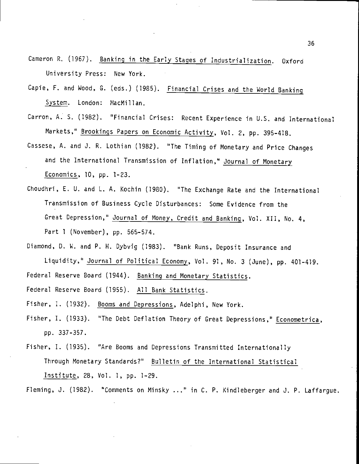- Cameron R. (1967). Banking in the Early Stages of Industrialization. Oxford University Press: New York.
- Capie, F. and Wood, G. (eds.) (1985). Financial Crises and the World Banking System. London: MacMillan.
- Carron, A: 5. (1982). "Financial Crises: Recent Experience in U.S. and International Markets," Brookings Papers on Economic Activity, Vol. 2, pp. 395-418.
- Cassese, A. and J. R. Lothian (1982). "The Timing of Monetary and Price Changes and the International Transmission of Inflation," Journal of Monetary Economics, 10, pp. 1-23.
- Choudhri, E. U. and L. A. Kochin (1980). "The Exchange Rate and the International Transmission of Business Cycle Disturbances: Some Evidence from the Great Depression," Journal of Money, Credit and Banking, Vol. XII, No. 4, Part 1 (November), pp. 565—574.
- Diamond, D. W. and P. H. Dybvig (1983). "Bank Runs, Deposit Insurance and Liquidity," Journal of Political Economy, Vol. 91, No. 3 (June), pp. 401—419. Federal Reserve Board (1944). Banking and Monetary Statistics.

Federal Reserve Board (1955). All Bank Statistics.

Fisher, I. (1932). Booms and Depressions, Adelphi, New York.

- Fisher, I. (1933). "The Debt Deflation Theory of Great Depressions," Econometrica, pp. 337-357.
- Fisher, I. (1935). "Are Booms and Depressions Transmitted Internationally Through Monetary Standards?" Bulletin of the International Statistical Institute, 28, Vol. 1, pp. 1-29.

Fleming, J. (1982). "Comments on Minsky ..." in C. P. Kindleberger and J. P. Laffargue.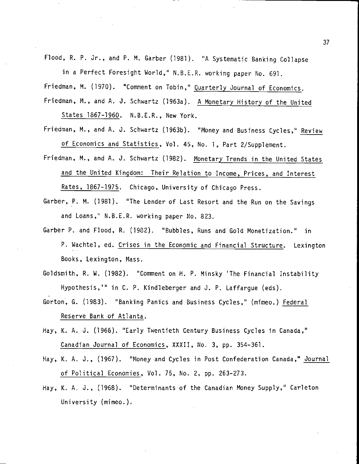Flood, R. P. Jr., and P. M. Garber (1981). "A Systematic Banking Collapse in a Perfect Foresight World," N.B.E.R. working paper No. 691.

Friedman, M. (1970). "Comment on Tobin," Quarterly Journal of Economics.

- Friedman, M., and A. J. Schwartz (l963a). A Monetary History of the United States 1867-1960. N.B.E.R., New York.
- Friedman, M., and A. J. Schwartz (1963b). "Money and Business Cycles," Review of Economics and Statistics, Vol. 45, No. I, Part 2/Supplement.
- Friedman, M., and A. J. Schwartz (1982). Monetary Trends in the United States and the United Kingdom: Their Relation to Income, Prices, and Interest Rates, 1867—1975. Chicago, University of Chicago Press.
- Garber, P. M. (1981). "The Lender of Last Resort and the Run on the Savings and Loans," N.B.E.R. working paper No. 823.
- P. Wachtel, Crises in the Economic and Financial Structure. Lexington ed. Books, Lexin gton, Mass Garber P. and Flood, R. (1982). "Bubbles, Runs and Gold Monetization." in
- Goldsmith, R. W. (1982). "Comment on H. P. Minsky 'The Financial Instability Hypothesis,' in C. P. Kindleberger and J. P. Laffargue (eds).
- Gorton, G. (1983). "Banking Panics and Business Cycles," (mimeo.) <u>Federal</u> Reserve Bank of Atlanta.
- Hay, K. A. J. (1966). "Early Twentieth Century Business Cycles in Canada," C<u>anadian Journal of Economics</u>, XXXII, No. 3, pp. 354–361.
- Hay, K. A. J., (1967). "Money and Cycles in Post Confederation Canada," <u>Journal</u> of Political Economies, Vol. 75, No. 2, pp. 263—273.
- Hay, K. A. J., (1968). "Determinants of the Canadian Money Supply," Carleton University (mimeo.).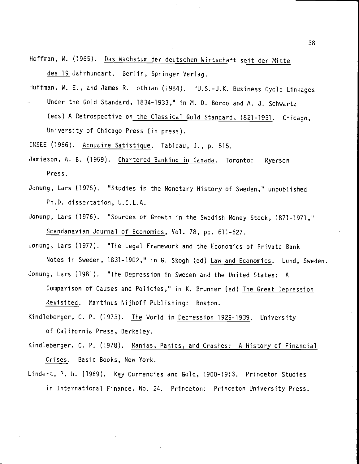Hoffman, W. (1965). Das Wachstum der deutschen Wirtschaft seit der Mitte des 19 Jahrhundart. Berlin, Springer Verlag.

- Huffman, W. E., and James R. Lothian (1984). "U.S.-U.K. Business Cycle Linkages Under the Gold Standard, 1834-1933," in M. D. Bordo and A. J. Schwartz
	- (eds) A Retrospective on the Classical Gold Standard, 1821-1931. Chicago, University of Chicago Press (in press).
- INSEE (1966). Annuaire Satistigue. Tableau, I., p. 515.
- Jamieson, A. B. (1959). Chartered Banking in Canada. Toronto: Ryerson Press.
- Jonung, Lars (1975). "Studies in the Monetary History of Sweden," unpublished Ph.D. dissertation, U.C.L.A.
- Jonung, Lars (1976). "Sources of Growth in the Swedish Money Stock, 1871—1971," Scandanavian Journal of Economics, Vol. 78, pp. 611—627.
- Jonung, Lars (1977). "The Legal Framework and the Economics of Private Bank Notes in Sweden, 1831—1902," in G. Skogh (ed) Law and Economics. Lund, Sweden.
- Jonung, Lars (1981). "The Depression in Sweden and the United States: A Comparison of Causes and Policies," in K. Brunner (ed) The Great Depression Revisited. Martinus Nijhoff Publishing: Boston.
- Kindleberger, C. P. (1973). The World in Depression 1929—1939. University of California Press, Berkeley.
- Kindleberger, C. P. (1978). Manias, Panics, and Crashes: A History of Financial Crises. Basic Books, New York.
- Lindert, P. H. (1969). Key Currencies and Gold, 1900—1913. Princeton Studies in International Finance, No. 24. Princeton: Princeton University Press.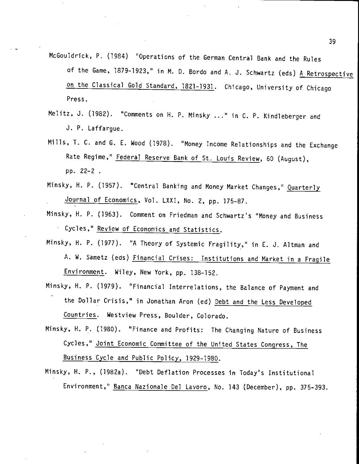- McGouldrick, P. (1984) "Operations of the German Central Bank and the Rules of the Game, 1879—1923," in M. D. Bordo and A. 3. Schwartz (eds) A Retrospective on the Classical Gold Standard, 1821—1931. Chicago, University of Chicago Press.
- Melitz, J. (1982). "Comments on H. P. Minsky ..." in C. P. Kindleberger and J. P. Laffarque.
- Mills, 1. C. and G. E. Wood (1978). "Money Income Relationships and the Exchange Rate Regime," Federal Reserve Bank of St. Louis Review, 60 (August), pp. 22—2
- Minsky, H. P. (1957). "Central Banking and Money Market Changes," Quarterly Journal of Economics, Vol. LXXI, No. 2, pp. 175—87.
- Minsky, H. P. (1963). Comment on Friedman and Schwartz's "Money and Business Cycles," Review of Economics and Statistics.
- Minsky, H. P. (1977). "A Theory of Systemic Fragility," in E. J. Altman and A. W. Sametz (eds) Financial Crises: Institutions and Market in a Fragile Environment. Wiley, New York, pp. 138—152.
- Minsky, H. p. (1979). "Financial Interrelations, the Balance of Payment and the Dollar Crisis," in Jonathan Aron (ed) Debt and the Less Developed Countries. Westview Press, Boulder, Colorado.
- Minsky, H. P. (1980). "Finance and Profits: The Changing Nature of Business Cycles," Joint Economic Committee of the United States Congress, The Business Cycle and Public Policy, 1929-1980.
- Minsky, H. P., (1982a). "Debt Deflation Processes in Today's Institutional Environment," <u>Banca Nazionale Del Lavoro</u>, No. 143 (December), pp. 375–393.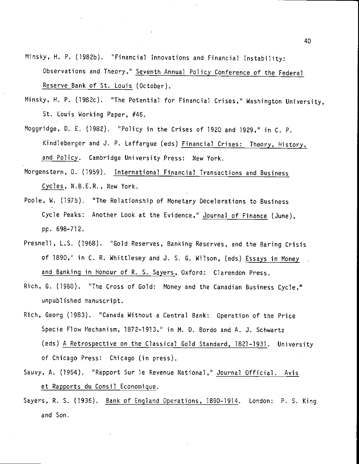- Minsky, H. P. (1982b). 'Financial Innovations and Financial Instability: Observations and Theory," Seventh Annual Policy Conference of the Federal Reserve Bank of St. Louis (October).
- Minsky, H. P. (1982c). "The Potential for Financial Crises," Washington University, St. Louis Working Paper, #46.
- Moggridge, D. E. (1982). "Policy in the Crises of 1920 and 1929," in C. P. Kindleberger and J. P. Laffargue (eds) Financial Crises: Theory, History, and Policy. Cambridge University Press: New York.
- Morgenstern, O. (1959). International Financial Transactions and Business Cycles, N.B.E.R., New York.
- Poole, W. (1975). "The Relationship of Monetary Decelerations to Business Cycle Peaks: Another Look at the Evidence," Journal of Finance (June), pp. 698-712.
- Presnell, L.S. (1968). "Gold Reserves, Banking Reserves, and the Baring Crisis of 1890," in C. R. Whittlesey and J. S. G. Wilson, (eds) Essays in Money. and Banking in Honour of R. S. Sayers, Oxford: Clarendon Press.
- Rich, G. (1980). "The Cross of Gold: Money and the Canadian Business Cycle," unpublished manuscript.
- Rich, Georg (1983). "Canada Without a Central Bank: Operation of the Price Specie Flow Mechanism, 1872—1913," in M. D. Bordo and A. J. Schwartz (eds) A Retrospective on the Classical Gold Standard, 1821—1931. University of Chicago Press: Chicago (in press).
- Sauvy, A. (1954). "Rapport Sur le Revenue National," Journal Official. Avis et Rapports du Consil Economigue.
- Sayers, R. S. (1936). Bank of England Operations, 1890-1914. London: P. S. King and Son.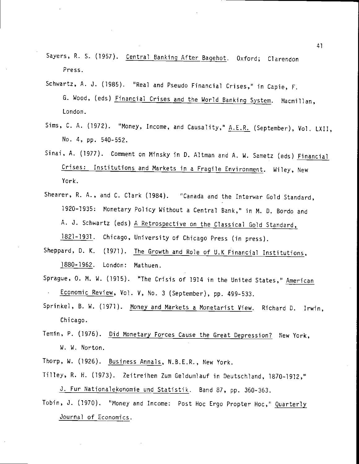- Sayers, R. S. (1957). Central Banking After Bagehot. Oxford; Clarendon Press.
- Schwartz, A. J. (1985). "Real and Pseudo Financial Crises," in Capie, F. G. Wood, (eds) Financial Crises and the World Banking System. Macmillan, London.
- Sims, C. A. (1972). "Money, Income, and Causality," A.E.R. (September), Vol. LXII, No. 4, pp. 540—552.
- Sinai, A. (1977). Comment on Minsky in D. Altman and A. W. Sametz (eds) Financial Crises: Institutions and Markets in a Fragile Environment. Wiley, New York.
- Shearer, R. A., and C. Clark (1984). "Canada and the Interwar Gold Standard, 1920—1935: Monetary Policy Without a Central Bank," in M. 0. Bordo and A. J. Schwartz (eds) A Retrospective on the Classical Gold Standard, 1821—1931. Chicago, University of Chicago Press (in press).
- Sheppard, D. K. (1971). The Growth and Role of U.K Financial Institutions, 1880—1962. London: Mathuen.
- Sprague, O. M. W. (1915). "The Crisis of 1914 in the United States," American Economic Review, Vol. V, No. 3 (September), pp. 499-533.
- Sprinkel, B. W. (1971). Money and Markets a Monetarist View. Richard D. Irwin, Chicago.
- Temin, P. (1976). Did Monetary Forces Cause the Great Depression? New York, W. W. Norton.
- Thorp, W. (1926). Business Annals, N.B.E.R., New York.
- Tilley, R. H. (1973). Zeitreihen Zum Geldumlauf in Deutschland, 1870—1912,' 3. Fur Nationalekonomie und Statistik. Band 87, pp. 360—363.
- Tobin, 3. (1970). "Money and Income: Post Hoc Ergo Propter Hoc," Quarterly Journal of Economics.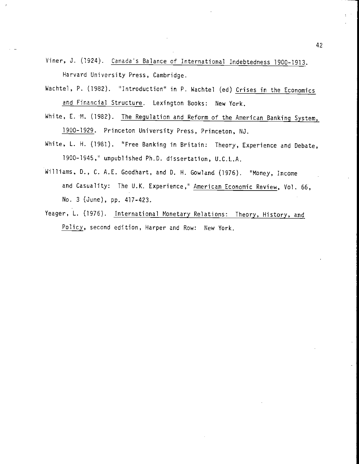- Viner, J. (1924). Canada's Balance of International Indebtedness 1900—1913. Harvard University Press, Cambridge.
- Wachtel, P. (1982). "Introduction" in P. Wachtel (ed) Crises in the Economics and Financial Structure. Lexington Books: New York.
- White, E. M. (1982). The Regulation and Reform of the American Banking System, 1900—1929. Princeton University Press, Princeton, NJ.
- White, L. H. (1981). "Free Banking in Britain: Theory, Experience and Debate, 1900—1945," unpublished Ph.D. dissertation, U.C.L.A.
- No. 3 (June), pp. 417—423. Williams, D., C. A.E. Goodhart, and D. H. Gowland (1976). "Money, Income and Casuality: The U.K. Experience," American Economic Review, Vol. 66,
- Yeager, L. (1976). International Monetary Relations: Theory, History, and <u>Policy</u>, second edition, Harper and Row: New York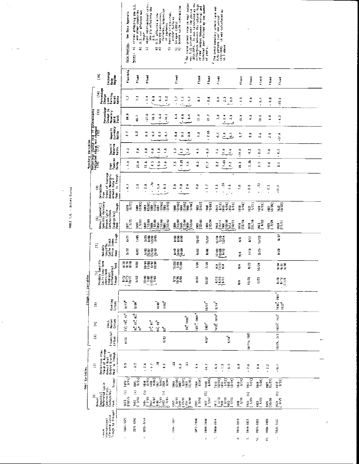|                     |                                                                                                      |                                                                                                                  | See Data Appendix<br><b>Date Sources</b> | crises affecting the U.S.<br>and other countries<br>U.S. nut affected but<br>U.S. nut affected but<br>5<br>$\overline{\phantom{a}}$<br>$\frac{1}{2}$ | major internactoral crists<br>shooply affecting the<br>$\mathbb C$                                                                                                     | ś<br>ទទ                                     | U.S. affected alone<br>banking panic-runs,<br>fallures, suspension<br>of payments<br>banking crisis--runs<br>Φ | and/or failures<br>Shrague (1915)<br>Severe cycle contraction<br>ಇಷ                                                                                       |                                    | <sup>1</sup> The Liend growd) rate in real august<br>180-1394, "Lie was calculated as the<br>180-1394, "Lie was calculated as the<br>ofference between the Jacoba for<br>ofference between the Jacoba Joas<br>terminal year divided by the number | of years.                             | The trend mometary growth rate was<br>5.40 percent over the period<br>11 1 about. It was calculated as<br>in 1 about.<br>Ŵ |                                                                                                                                                                                                                                                                                                                       |                |                                        |                                  |                       |                                               |  |  |
|---------------------|------------------------------------------------------------------------------------------------------|------------------------------------------------------------------------------------------------------------------|------------------------------------------|------------------------------------------------------------------------------------------------------------------------------------------------------|------------------------------------------------------------------------------------------------------------------------------------------------------------------------|---------------------------------------------|----------------------------------------------------------------------------------------------------------------|-----------------------------------------------------------------------------------------------------------------------------------------------------------|------------------------------------|---------------------------------------------------------------------------------------------------------------------------------------------------------------------------------------------------------------------------------------------------|---------------------------------------|----------------------------------------------------------------------------------------------------------------------------|-----------------------------------------------------------------------------------------------------------------------------------------------------------------------------------------------------------------------------------------------------------------------------------------------------------------------|----------------|----------------------------------------|----------------------------------|-----------------------|-----------------------------------------------|--|--|
|                     | $\frac{5}{2}$                                                                                        | Exchange<br>Rate<br>Regime                                                                                       | Flaxible                                 | Fried                                                                                                                                                | <b>Print</b>                                                                                                                                                           |                                             |                                                                                                                | Fixed                                                                                                                                                     |                                    | Fixed                                                                                                                                                                                                                                             | Filiad                                | Flxad                                                                                                                      |                                                                                                                                                                                                                                                                                                                       | Fixed          | Fixed                                  | rixed                            | Fixed                 | Fixed                                         |  |  |
|                     | Ξ                                                                                                    | Percentage<br>Erring<br>Asta<br>Aatla<br>Change<br>Ś                                                             | Ξ                                        | R                                                                                                                                                    | $\frac{\pi}{4}$                                                                                                                                                        | $\ddot{\phantom{a}}$<br>$\frac{3}{2}$       | $\ddot{ }$ :                                                                                                   | Ŗ                                                                                                                                                         | $\frac{1}{2}$<br>$\frac{1}{2}$     | ្ធ                                                                                                                                                                                                                                                | å.é<br>$\blacksquare$                 | ឹ                                                                                                                          | $\overline{a}$<br>$\mathbf{0}$                                                                                                                                                                                                                                                                                        | Ĵ              | a. 6                                   | $\overline{a}$<br>$\blacksquare$ | ្មី<br>$\blacksquare$ | $-15.0$                                       |  |  |
|                     | percentage chance in a 11 determinants<br>Indicated alging had copped<br>Indicated alging had copped | Percentage<br>Change in<br>Elongiary<br>Gold<br>Stock                                                            | $\frac{3}{5}$                            | $\frac{1}{2}$                                                                                                                                        | $-21.0$                                                                                                                                                                | $\frac{1}{2}$<br>$\frac{5}{4}$<br>$\bullet$ | $-14.2$                                                                                                        | ្ម័                                                                                                                                                       | $\frac{6}{3}$<br>$\frac{1}{2}$     | Ξ                                                                                                                                                                                                                                                 | $\frac{1}{2}$                         | $\ddot{\ddot{\phantom{a}}}_i$                                                                                              | $\ddot{\circ}$<br>$\frac{2}{3}$                                                                                                                                                                                                                                                                                       | 35.9           | ÷                                      | щ<br>₫                           | ្នុ                   | g<br>$\blacksquare$                           |  |  |
|                     |                                                                                                      | Daposit<br>Eurrency<br>Mitte                                                                                     | Q                                        | $\frac{2}{3}$                                                                                                                                        | ů,                                                                                                                                                                     | $\ddot{a}$<br>3                             | Ş<br>J.                                                                                                        | $\ddot{\bullet}$<br>$\cdot$                                                                                                                               | $\ddot{\phantom{0}}$<br>ឹ<br>ى     | 2                                                                                                                                                                                                                                                 | 2.65<br>$\blacksquare$                | $\overline{a}$                                                                                                             | و.<br>م<br>3,                                                                                                                                                                                                                                                                                                         | $\overline{1}$ | œ<br>κ,                                | $\frac{3}{2}$                    | $\frac{3}{2}$         | $-2/14$                                       |  |  |
| Monetary Variables  |                                                                                                      | Dapas It<br>Acserva<br>Natio                                                                                     | $\ddot{a}$                               | ្លឹ                                                                                                                                                  | a.<br>Fi                                                                                                                                                               | $\ddot{a}$<br>Ē                             | $\frac{1}{2}$                                                                                                  | $\mathbb{R}$<br>$\frac{2}{3}$                                                                                                                             | 2                                  | Ş                                                                                                                                                                                                                                                 | $\ddot{a}$<br>$\cdot$                 | 3                                                                                                                          | و.<br>ت<br>1                                                                                                                                                                                                                                                                                                          | $-14.8$        | $\ddot{\phantom{a}}$                   | š<br>$\blacktriangleleft$        | $\ddot{ }$ .          | $\frac{1}{2}$<br>$\blacksquare$               |  |  |
|                     |                                                                                                      | lligh<br>Powered<br>Noney                                                                                        | $\frac{2}{1}$                            | $\frac{1}{2}$                                                                                                                                        | $\frac{3}{2}$                                                                                                                                                          | $\overline{a}$<br>$\frac{1}{2}$             | $\frac{1}{2}$                                                                                                  | $\frac{1}{2}$<br>$\ddot{\phantom{0}}$<br>ب                                                                                                                | Ž,                                 | ្ជិ                                                                                                                                                                                                                                               | $\frac{1}{2}$                         | $\ddot{2}$ .                                                                                                               | $\frac{1}{2}$<br>$\frac{2}{2}$                                                                                                                                                                                                                                                                                        | -<br>9         | $\frac{1}{2}$<br>$\mathbf{r}$          | $\overline{a}$                   | $\mathbb{Z}$          | $\overline{a}$                                |  |  |
|                     |                                                                                                      | Trend of Average<br>Annual Munetary<br>Growth Rate 2<br>Peak to Trough<br>ta Traugh<br>(9)<br>Gevta tion<br>from | $\ddot{ }$<br>$\,$                       | $\frac{6}{3}$                                                                                                                                        | 2.6<br>$\blacksquare$                                                                                                                                                  | $\ddot{v}$<br>$\frac{3}{2}$                 | $-9.3$                                                                                                         | $\ddot{ }$<br>$-7.8$                                                                                                                                      | $\ddot{2}$ .                       | $\ddot{2}$ , 0                                                                                                                                                                                                                                    | $\frac{1}{2}$                         | $\frac{1}{2}$                                                                                                              | Ŗ<br>$\frac{1}{2}$<br>ï                                                                                                                                                                                                                                                                                               | 7.0            | $\ddot{2}$<br>$\overline{\phantom{a}}$ | Ę                                | $\mathbb{C}$          | $\frac{1}{2}$                                 |  |  |
|                     |                                                                                                      | (8)<br>Specific Hanetary<br>Specific Hanetary<br>Growth Cycle<br>Cantractions<br>iraugh                          | $\frac{1}{2}$                            | <b>MA</b><br>2,461                                                                                                                                   |                                                                                                                                                                        | 1893<br>12/92)<br>12/87 1<br>189 1          | $\frac{2}{3}$<br>$\frac{1}{2}$<br>$\frac{1}{2}$<br>$\frac{1}{3}$                                               |                                                                                                                                                           | 1900<br>12/99]<br>12/95]<br>12/99] | $\frac{3}{2}$                                                                                                                                                                                                                                     | 1908<br>12/08]                        |                                                                                                                            |                                                                                                                                                                                                                                                                                                                       | <b>ENSIS</b>   | $\frac{1}{2}$                          | $\frac{34}{620}$                 | $\frac{97}{278}$      | $\frac{32}{912}$                              |  |  |
|                     |                                                                                                      | (subcycles)<br>Peak                                                                                              | naria<br>C                               | 1888<br>[ 5/81                                                                                                                                       |                                                                                                                                                                        |                                             |                                                                                                                |                                                                                                                                                           | 112/38                             | $\frac{190}{12700}$                                                                                                                                                                                                                               | 1905<br>[12/D4                        |                                                                                                                            | E<br>Exerci                                                                                                                                                                                                                                                                                                           | 1916<br>[12/16 | 1919<br>[12]                           | $\frac{1923}{1122}$              | $\frac{1925}{12721}$  | $\frac{192}{1172}$                            |  |  |
|                     | $\Xi$                                                                                                | in ugh                                                                                                           | 52                                       | $\frac{45}{2}$                                                                                                                                       | 1325년<br>1355년                                                                                                                                                         |                                             |                                                                                                                | 358<br>SSS                                                                                                                                                |                                    | 10/01                                                                                                                                                                                                                                             | inter                                 | $\frac{25}{2}$                                                                                                             |                                                                                                                                                                                                                                                                                                                       | ž              | <b>12/8</b>                            | 10/23                            |                       | $\frac{1}{2}$                                 |  |  |
|                     |                                                                                                      | Munchly<br>Specific<br>Cycle Stock<br>Price Index<br>Ĭ                                                           | 572                                      | Ş                                                                                                                                                    | 3525<br>2525                                                                                                                                                           |                                             |                                                                                                                | $\frac{22}{22}$                                                                                                                                           |                                    | $\frac{2}{3}$                                                                                                                                                                                                                                     | $\frac{8}{2}$                         | $\frac{278}{1273}$                                                                                                         |                                                                                                                                                                                                                                                                                                                       | Š              | ž,                                     | $\frac{2}{3}$                    |                       | 9/29                                          |  |  |
|                     | Ξ                                                                                                    | Monthly Specific<br>Cycle Long-Term<br>Short-Term<br><sup>ano,</sup><br>Interest<br>Differential<br>Oifferential | 78<br>25년<br>9월                          | 9/85                                                                                                                                                 | 3월<br>1783<br>110일                                                                                                                                                     |                                             |                                                                                                                | $\frac{888}{222}$                                                                                                                                         |                                    | $\frac{1}{2}$                                                                                                                                                                                                                                     | 2/09                                  | ≨ટ્રે                                                                                                                      |                                                                                                                                                                                                                                                                                                                       | ₹              | 3/22                                   | 10/24                            |                       | aga<br>SSS                                    |  |  |
| Einencial Verieties |                                                                                                      |                                                                                                                  | 1925<br>1926<br>1927                     | 6/83                                                                                                                                                 | <b>1225</b><br>2022<br>2022                                                                                                                                            |                                             |                                                                                                                | 음봉흥<br>구 <u>슬</u> 구                                                                                                                                       |                                    | EG/B                                                                                                                                                                                                                                              | 12/07                                 | $\frac{22}{22}$                                                                                                            |                                                                                                                                                                                                                                                                                                                       | Ş              | 10/20                                  | $\frac{5}{2}$                    |                       |                                               |  |  |
|                     | Ξ                                                                                                    | Banking<br>Crises                                                                                                | 9/73*                                    | 5/84                                                                                                                                                 |                                                                                                                                                                        | โ€3<br>                                     | $7/93$ $^{\circ}$                                                                                              |                                                                                                                                                           |                                    |                                                                                                                                                                                                                                                   | 10/07                                 | $\mathbb{D}^{\mathbb{C}}$ la $^{\mathbb{C}}$                                                                               |                                                                                                                                                                                                                                                                                                                       |                |                                        |                                  |                       | $\left[1930_{7}^{7}1931^{4}\right]$           |  |  |
|                     | Ξ                                                                                                    | State<br>Seite<br>Grie                                                                                           | $\mathbf{p}^{\mathbf{q}}$<br>734 75      | $\frac{1}{2}$<br>្ត្<br>$\mathbb{R}^{\times}$                                                                                                        | Ì,<br>$\frac{1}{n}$                                                                                                                                                    | $\frac{1}{2} \log \frac{1}{2}$              | ិន                                                                                                             |                                                                                                                                                           | 90, 1900                           | 1901, 1904 <sup>3</sup>                                                                                                                                                                                                                           | 190 <sup>5</sup>                      | 912, 1914                                                                                                                  |                                                                                                                                                                                                                                                                                                                       |                |                                        |                                  |                       |                                               |  |  |
|                     | Ξ                                                                                                    | Filmancial<br>Crises                                                                                             | 5/7                                      |                                                                                                                                                      |                                                                                                                                                                        |                                             | $\frac{5}{2}$                                                                                                  |                                                                                                                                                           |                                    |                                                                                                                                                                                                                                                   | ίψ                                    |                                                                                                                            | $5/14^5$                                                                                                                                                                                                                                                                                                              |                | Spring 1921                            |                                  |                       | 10/29, 3/11 1929, 1931                        |  |  |
|                     | $\Xi$                                                                                                | Trand of Average<br>Annual Real<br>Output Grunth 1<br>Deviations from<br>Pask to Trough                          | ្ន                                       | $\frac{2}{3}$<br>J.                                                                                                                                  | 2.6<br>$\ddot{\phantom{0}}$                                                                                                                                            | F.                                          | J.                                                                                                             | ą<br>$\frac{1}{2}$                                                                                                                                        | Ş                                  | ž                                                                                                                                                                                                                                                 | Ş                                     | $\frac{1}{\sqrt{2}}$<br>$\frac{3}{2}$                                                                                      | ું                                                                                                                                                                                                                                                                                                                    | 5.8            | $\ddot{ }$                             | $\ddot{\phantom{a}}$             | 2.2                   | $-16.7$                                       |  |  |
| Real Variables      |                                                                                                      | Truugh                                                                                                           | ן פשו                                    | 1845<br>3763                                                                                                                                         |                                                                                                                                                                        | 33377                                       |                                                                                                                | $\begin{array}{r} \hline \text{18.3--} \\ \hline \text{28.3--} \\ \text{28.3--} \\ \text{28.3--} \\ \text{28.3--} \\ \text{28.3--} \\ \hline \end{array}$ |                                    | $\overline{\mathbf{g}_{\mathbf{H}}^{\mathbf{g}}}$                                                                                                                                                                                                 | $\frac{1}{2}$                         |                                                                                                                            | $\begin{array}{r} \begin{array}{c} 1214 \\ 1214 \\ 1214 \\ 1214 \\ 1214 \\ 1214 \\ 1214 \\ 1214 \\ 1214 \\ 1214 \\ 1214 \\ 1214 \\ 1214 \\ 1214 \\ 1214 \\ 1214 \\ 1214 \\ 1214 \\ 1214 \\ 1214 \\ 1214 \\ 1214 \\ 1214 \\ 1214 \\ 1214 \\ 1214 \\ 1214 \\ 1214 \\ 1214 \\ 1214 \\ 1214 \\ 1214 \\ 1214 \\ 1214 \\ 1$ | lais<br>37191  | $\frac{1921}{7/211}$                   | $\frac{1924}{7/24}$              | $\frac{1}{11}$        | 1952<br>3/33]                                 |  |  |
|                     | $\begin{array}{c} (1) \\ \text{final} \\ \text{in} \end{array}$                                      | [manth]<br>Reference Cycle<br>Contractions<br>{subcycles}<br>Peak                                                | $\overline{5}$<br>$\frac{1473}{1100}$    | ā<br>1802<br>  J/R2                                                                                                                                  | ã<br>$\begin{array}{c}\n\frac{1}{2} & \frac{1}{2} & \frac{1}{2} \\ -\frac{1}{2} & \frac{1}{2} & \frac{1}{2} \\ -\frac{1}{2} & -\frac{1}{2} & \frac{1}{2}\n\end{array}$ |                                             | $\mathbb B$<br>1932<br>1947<br>1948<br>1948                                                                    |                                                                                                                                                           |                                    | 1943<br>[ 9/02                                                                                                                                                                                                                                    | $\overline{5}$<br>$\frac{1907}{1500}$ |                                                                                                                            | ׆֧֦֦֞֞֞֞֞֩֞֩֩֞֩֞֞֞֞׆֧֧֧֩֩֩֩׆֥֥֥֥֥֚֩֩֩<br>׆׆֥֢֢֖֖֢֢֢֢֦֦֞׆ׅ֖֖֖֦֖֦֖֢֩֩֟֞׆֥֦֖֖֖֖֬                                                                                                                                                                                                                                         | 1918<br>[ 6/18 | $\overline{2}$<br>$\frac{1920}{11/20}$ | 1923<br>[ 5/23                   | 10/26<br>1926         | $\widehat{\mathbf{c}}$<br>$\frac{1929}{6729}$ |  |  |
|                     |                                                                                                      | wierene Cycle<br>Trough ta Trough)<br>Frensk Lians<br><b>AGNIN-1</b>                                             | 1865-1879<br>v.                          | 1879 L8RD                                                                                                                                            | 1896-1894<br>Ľ,                                                                                                                                                        |                                             |                                                                                                                | 1894-1901<br>$\frac{1}{\epsilon}$                                                                                                                         |                                    | 1904-1904                                                                                                                                                                                                                                         | 1904-1908<br>ż                        | 1908-1914<br>$\mathbb{Q}^3$                                                                                                |                                                                                                                                                                                                                                                                                                                       | 1914-1919<br>ś | 1919-1921<br>$\frac{1}{2}$             | 1921-1926<br>ģ                   | 1926-1928<br>Ξ        | 1928-1932<br>$\frac{1}{2}$                    |  |  |

l.

 $\bar{\bar{1}}$ 

TABLE 1.A. - United Status TABLE 1.6. - United States

ł,

 $\frac{1}{\sqrt{2}}$ 

 $\frac{1}{2}$ 

 $\overline{a}$ 

 $\ddot{\phantom{0}}$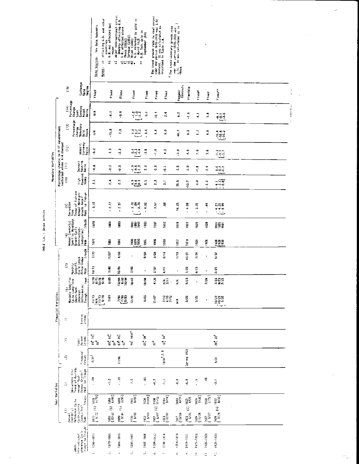|                    |                                                                      |                                                         |                                                                                                          | affecting G.D. and other<br>Sce Data Appendix<br>Data you ces.<br>π<br>Notes:                 | countries<br>G.B. not affected but<br>major<br>Ξ | . major international crisis<br>6.D. affecting A.B.<br>6.D. affected alone<br>1 Sprague (1945)<br>1 Brown (1948)<br>1 Brown (1940)<br>$\overline{\mathbf{u}}$<br>90.77 | G.ü. returned ta gald nu<br>Anril 1935<br>G.B. left gald in<br>September 1931<br>ŧ |                                  | <sup>1</sup> The tread growth rate in real output<br>over the period 1870–1939 was 1-48<br>percent. It was calculated as<br>described in Table 1.A. |                                   | $\frac{2}{\sqrt{16}}$ The Crend Lunesary growth raze<br>cover the person 1870-1939 was<br>$\frac{2}{\sqrt{11}}$ . It was calculated as an 1<br>doom. |                                                  |                                        |                                     |                                                                        |
|--------------------|----------------------------------------------------------------------|---------------------------------------------------------|----------------------------------------------------------------------------------------------------------|-----------------------------------------------------------------------------------------------|--------------------------------------------------|------------------------------------------------------------------------------------------------------------------------------------------------------------------------|------------------------------------------------------------------------------------|----------------------------------|-----------------------------------------------------------------------------------------------------------------------------------------------------|-----------------------------------|------------------------------------------------------------------------------------------------------------------------------------------------------|--------------------------------------------------|----------------------------------------|-------------------------------------|------------------------------------------------------------------------|
|                    |                                                                      | $\bar{e}$                                               | Exchange<br>Rat <b>n</b><br>Regine                                                                       | Fixed                                                                                         | Fixed                                            | Fixed                                                                                                                                                                  | Fland                                                                              | Flag                             | E<br>E                                                                                                                                              | Fixed                             | <b>Contruls</b><br>Paged/                                                                                                                            | flextble                                         | Fixed <sup>®</sup>                     | Fixed                               | <b>Fixed**</b>                                                         |
|                    |                                                                      |                                                         | e)<br>Porcentage<br>Porcentage<br>Channel<br>Larr<br>Carning<br>Asset<br>Ratto                           | Š                                                                                             | ş                                                | $-0.9$                                                                                                                                                                 | $\frac{30}{1}$                                                                     | $\ddot{\circ}$                   | Ş                                                                                                                                                   | $\tilde{z}$                       | $\ddot{\phantom{0}}$                                                                                                                                 | $\frac{6}{1}$                                    | Ę                                      | $\ddot{ }$                          | 759<br>P                                                               |
|                    |                                                                      | $\bar{a}$                                               | Percentage<br>Change<br>Changed<br>Gold<br>Stock                                                         | Š                                                                                             | 15.3                                             | $\ddot{ }$                                                                                                                                                             | $\begin{array}{c} \n\overset{1}{\sim} \\ \overset{1}{\sim} \\ \end{array}$         | $-3.4$                           | ÷,                                                                                                                                                  | ឹ                                 | Ç                                                                                                                                                    | $\overline{a}$                                   | ă                                      | ્ર                                  | $\frac{1}{2}$                                                          |
|                    | Percentage chango in M If determinant<br>indicated alone hid changed | $\Xi$                                                   | Deposit<br>Currency<br>Ratio                                                                             | $-5.2$                                                                                        | $\ddot{ }$                                       | $\ddot{.}$                                                                                                                                                             | रपुर<br>वेषुनि                                                                     | $-3.8$                           | $\frac{1}{2}$                                                                                                                                       | $\frac{1}{2}$                     | $\ddot{ }$                                                                                                                                           | ÷,                                               | 7.8                                    | $\ddot{ }$                          | $\begin{array}{c} 231 \\ -32 \end{array}$                              |
| Monetary Variablas |                                                                      | $\equiv$                                                | Deposit<br>Reserve                                                                                       | $\frac{1}{2}$                                                                                 | $\frac{2}{3}$                                    | ္                                                                                                                                                                      | - - - -<br>- - -                                                                   | ũ                                | 3                                                                                                                                                   | Ş                                 | $\frac{5}{2}$                                                                                                                                        | r.                                               | $\frac{1}{1}$                          | $\frac{1}{2}$                       | ESP                                                                    |
|                    |                                                                      | $\overline{e}$                                          | High<br>Powered                                                                                          | Ę                                                                                             | 2,4                                              | Q                                                                                                                                                                      | ەپە<br>مەنبە                                                                       | ្ជុំ                             | $\ddot{\rm{}}$                                                                                                                                      | G                                 | ă                                                                                                                                                    | $\frac{1}{2}$                                    | a.o                                    | $\mathbb{S}$<br>$\blacksquare$      | $\frac{1}{2}$<br>$\overline{1}$<br>$\blacksquare$                      |
|                    |                                                                      | $(9)$<br>Deviation                                      | Trend of Averaye<br>Annual Monetary<br>Growth Rutu <sup>2</sup><br>Pauk to Tronya<br>Ē                   | $\frac{12}{11}$<br>$\mathbf{I}$                                                               | $-2.77$                                          | 2.51<br>$\mathbf{I}$                                                                                                                                                   | $\begin{array}{c} 282 \\ -1 \end{array}$                                           | 4.02<br>Î.                       | $\ddot{ }$<br>$\cdot$                                                                                                                               | ą                                 | 14.25                                                                                                                                                | 5.06<br>$\pmb{\varepsilon}$                      | $\frac{1}{2}$                          | Ŧ,                                  |                                                                        |
|                    |                                                                      |                                                         | Annual [menthly]<br>Specific Monetary<br>Growth Cycle<br>Growth Cycle<br>(suocycles)<br>(suocycles)      | 1878                                                                                          | i Wi                                             | 189                                                                                                                                                                    | 88E                                                                                | iagi                             | 1907                                                                                                                                                | š                                 | š                                                                                                                                                    | 192                                              | 1925                                   | 1928                                | 285                                                                    |
|                    |                                                                      |                                                         |                                                                                                          | 1672                                                                                          | $\bar{\mathbf{3}}$                               | Ē                                                                                                                                                                      | $\frac{888}{152}$                                                                  | 1902                             | $\frac{8}{2}$                                                                                                                                       | $\frac{2}{3}$                     | 1917                                                                                                                                                 | 1919                                             | 1924                                   | š                                   | 383                                                                    |
|                    |                                                                      |                                                         | inani.<br>Monthly<br>Specific<br>Eycle Stock<br>Peak Index<br>Peak Peak                                  | $\tilde{L}$                                                                                   | 11/87                                            | 4/92                                                                                                                                                                   | $\blacksquare$                                                                     | $\frac{3}{2}$                    | 3/09                                                                                                                                                | $\frac{4}{3}$                     | ξ                                                                                                                                                    | $\frac{1}{2}$                                    | 1/24                                   | $\pmb{\tau}$                        | <b>AC/S</b>                                                            |
|                    |                                                                      | $\tilde{c}$                                             |                                                                                                          | 10/71                                                                                         | ìЛа                                              | 10/84                                                                                                                                                                  | S/SI                                                                               | $\blacksquare$                   | 57.01                                                                                                                                               | $\overline{5}$                    | $\blacksquare$                                                                                                                                       | 1/20                                             | $\frac{1}{2}$                          | $\pmb{\cdot}$                       | 2/73                                                                   |
|                    |                                                                      | (6)<br>Cycle Long-Term<br>Cycle Long-Term<br>Short-Term | Ĵ                                                                                                        | १८११<br>जेबेट्टेके                                                                            | 6/85                                             | a sa<br>a sa                                                                                                                                                           | 1D/01                                                                              | 10/04                            | $\frac{3}{2}$                                                                                                                                       | ξĘ                                | Ž                                                                                                                                                    | 5/23                                             | ŧ                                      | 7/28                                | 223                                                                    |
|                    | Financial Variables                                                  |                                                         | Interest<br>Differential<br>Trough                                                                       | $\begin{array}{ll} \mathbb{Z}_2 & \mathbb{Z} \\ \mathbb{Z}_2 \cong \mathbb{Z} \\ \end{array}$ | 7/83                                             | 333                                                                                                                                                                    | 12/99                                                                              | 5/0.3                            | $\frac{1}{2}$                                                                                                                                       | $\frac{25}{25}$                   | ΣÁ                                                                                                                                                   | 5/20                                             | $\frac{3}{2}$                          | $\bullet$                           |                                                                        |
|                    |                                                                      | ë,                                                      | Sinking<br>Crises                                                                                        |                                                                                               |                                                  |                                                                                                                                                                        |                                                                                    |                                  |                                                                                                                                                     |                                   |                                                                                                                                                      |                                                  |                                        |                                     |                                                                        |
|                    |                                                                      | Ξ                                                       | Stock<br>Thrises<br>Crises                                                                               | $75^4$<br>$\frac{1}{2}$                                                                       | ្ងៃ<br>$\mathbf{S}$<br>$\ddot{\phantom{a}}$      | Ĕ,<br>$\frac{1}{20}$ is                                                                                                                                                | PULP!<br>š,                                                                        | $\mathbf{a}^*$<br>t.<br>G        | $\frac{a}{\alpha}$                                                                                                                                  | $14^{\circ}$<br>ับ                |                                                                                                                                                      |                                                  |                                        |                                     | ă<br>$\mathbf{z}$                                                      |
|                    |                                                                      | ē                                                       | Financial<br><b>Cystes</b>                                                                               | $\eta\tau\eta^{\dagger}$                                                                      |                                                  | 11/90                                                                                                                                                                  |                                                                                    |                                  |                                                                                                                                                     | æ<br>$1.5 - 1.61$                 |                                                                                                                                                      | Spring 1921                                      |                                        |                                     | ī,                                                                     |
|                    |                                                                      | 줜                                                       | Deviations rrow<br>Trend of Average<br>Annoal Real<br>Outpul Granth i<br>Peal to Trougn                  | ą<br>x                                                                                        | $\frac{2}{3}$                                    | $\frac{1}{2}$                                                                                                                                                          | $\frac{1}{2}$                                                                      | å.<br>Î.                         | $\ddot{ }$                                                                                                                                          | $\frac{1}{2}$                     | $\frac{9}{4}$                                                                                                                                        | $\ddot{\phantom{0}}$                             | Ξ,                                     | ٩ŗ                                  | $\frac{1}{2}$                                                          |
|                    | Real Variables                                                       | Ξ<br>Annual                                             | Trough<br>(ponchi)<br>Reference Lycia<br>Controlling<br>(subc, les <sup>)</sup><br>Feak – Troug          | $\frac{1873}{1572}$ (5) $\frac{1879}{6791}$                                                   | 1883 (s) 1966<br>[12/02 (s) 1966]                | $(5, 1894$<br>$2/95$<br>1892<br>L SK 31                                                                                                                                | 1901<br>9/01]<br>1908<br>[ 6/08                                                    | 1974<br>11/04]<br>1903<br>[ 6/01 | 1908<br>1170<br>$\begin{bmatrix} 1967 & (5) \\ 6/67 & 1 \end{bmatrix}$                                                                              | $\frac{1914}{9/14}$<br>na<br>Ciri | $\frac{1919}{4/19}$<br>$\frac{1917}{100718}$                                                                                                         | $(5)$ $\frac{1921}{6721}$<br>$\frac{1920}{6680}$ | 1926<br>7/26  <br>$\frac{192}{111}$ 28 | $\frac{33}{2}$<br>$\frac{192}{522}$ | $\begin{bmatrix} 1929 & (5) & 1532 \\ 7/29 & (5) & 8/33 \end{bmatrix}$ |
|                    |                                                                      |                                                         | immente<br>Colèrendicas)<br>éference Cycle<br>Frauga to Trusyhi I<br>$\mathbf{H}(\mathbf{F} \mathbf{F})$ | 10hb-1879<br>ù,                                                                               | 1379-1886<br>k.                                  | 1896-1895<br>$\spadesuit$                                                                                                                                              | 1895-190<br>ä,                                                                     | 1901 1904<br>Ĝ,                  | 1904-1908<br>i,                                                                                                                                     | 1048-1914<br>s.                   | $191 + 1919$<br>ś                                                                                                                                    | 1919-1921<br>ś,                                  | 1931-1926<br>Š.                        | 1926-1928<br>$\equiv$               | 1928-1933<br>ģ                                                         |

 $\frac{1}{2}$ 

 $\hat{\mathcal{O}}$ 

 $\bar{z}$ 

 $\psi_{\lambda\lambda}$ 

 $\bar{\mathcal{A}}$ 

 $\sim$ 

TABLE 1.6, - Great Britain lADLE I,lo .—lireot 0r11310

 $\ddot{\phantom{0}}$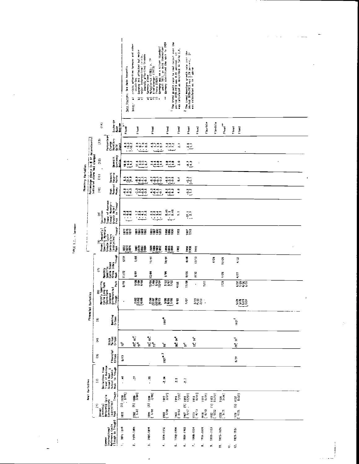T491E 1.S. - Germany T4MLE I.C. - Germany

 $\frac{1}{\sqrt{2}}$ 

 $\frac{1}{2}$ 

 $\overline{a}$ 

 $\ddot{\phantom{a}}$ 

l,

|                    |                                                                                |                        |                                                                                                                             | Sources: See Data Annendix                     | celling offertion Germany and other<br>counties<br>Germany mot affected but mailure<br>major international crisis,<br>sharply afforting Gromany<br>Garmany alone<br>-<br>30<br>$\frac{1}{2}$ | McCauldrick (1983) p. TP<br>Kindleberger (1973)<br>Thorp (1926)<br>asaa. | Germany wag on a silver standard<br>- until 1873, on oold thereafter<br>Germany stabilized the marr in 1924<br>$\ddot{\phantom{a}}$ | The trend growth rate in real output wer the<br>period 1870-1913 was 8.01 percent. At<br>was calculated as described in Table 1.8. | The trend monotory growth rate over the<br>period 1870-1913 was \$.24 procent.  t<br>was calculated as in <sup>1</sup> above<br>$\overline{\phantom{a}}$ |                                |                                                                                              |                                             |                                 |                                                                        | $\ddotsc$ |  |
|--------------------|--------------------------------------------------------------------------------|------------------------|-----------------------------------------------------------------------------------------------------------------------------|------------------------------------------------|----------------------------------------------------------------------------------------------------------------------------------------------------------------------------------------------|--------------------------------------------------------------------------|-------------------------------------------------------------------------------------------------------------------------------------|------------------------------------------------------------------------------------------------------------------------------------|----------------------------------------------------------------------------------------------------------------------------------------------------------|--------------------------------|----------------------------------------------------------------------------------------------|---------------------------------------------|---------------------------------|------------------------------------------------------------------------|-----------|--|
|                    |                                                                                | $\tilde{\Xi}$          | Exchange<br>Regilm                                                                                                          | $\frac{1}{2}$                                  | Flagel                                                                                                                                                                                       | Fixed                                                                    | Fixed                                                                                                                               | Fixed                                                                                                                              | Ě                                                                                                                                                        | š                              | i i ta                                                                                       | Flexible                                    | than <sup>1</sup>               | Flag<br>Flace                                                          |           |  |
|                    |                                                                                | Ê                      | Ferencer                                                                                                                    | -52<br><b>Such</b>                             | $\begin{array}{c} 1.18 \\ 0.18 \\ -1.1 \end{array}$                                                                                                                                          | ديدية<br>تفسير                                                           | $\mathbb{Z}^n$<br>Ġ,                                                                                                                | $\frac{1}{2}$                                                                                                                      | $\frac{3}{1}$                                                                                                                                            |                                |                                                                                              |                                             |                                 |                                                                        |           |  |
|                    | Percentage change in H if determinants<br>Indicated alone in H if determinants | $\tilde{c}$            | Dentis<br>Current<br>Partis                                                                                                 | $\frac{1}{2}$                                  | $\mathbb{R}^{n \times n}$                                                                                                                                                                    | $\frac{1}{2}$                                                            | <b>B</b>                                                                                                                            | $\ddot{\phantom{0}}$                                                                                                               | $\frac{1}{7}$                                                                                                                                            |                                |                                                                                              |                                             |                                 |                                                                        |           |  |
| Momethry Variables |                                                                                | Ξ                      |                                                                                                                             | <b>مود</b>                                     | 9959                                                                                                                                                                                         | eger                                                                     |                                                                                                                                     | ē                                                                                                                                  | 95                                                                                                                                                       |                                |                                                                                              |                                             |                                 |                                                                        |           |  |
|                    |                                                                                | Ξ                      | $\begin{array}{c}\n\vdots \\ \downarrow \\ \downarrow \\ \downarrow \\ \downarrow \\ \downarrow \\ \downarrow\n\end{array}$ | $\frac{1}{2}$                                  | $\begin{array}{c}\n\bullet & \bullet & \bullet \\ \bullet & \bullet & \bullet \\ \bullet & \bullet & \bullet\n\end{array}$                                                                   | $-0.00$                                                                  | $\frac{1}{2}$                                                                                                                       | Ş                                                                                                                                  | $\frac{27}{7}$                                                                                                                                           |                                |                                                                                              |                                             |                                 |                                                                        |           |  |
|                    |                                                                                | $\frac{9}{2}$ eviation | Trand of Aserage<br>Ammual Monetery<br>Growth Auter<br>Peak to Trough<br>Ě                                                  | ***<br>$\frac{1}{2}$                           |                                                                                                                                                                                              | $100 - 100$<br>ننها:                                                     | $\frac{5}{2}$ .<br>Ŀ,                                                                                                               | þ                                                                                                                                  | $\frac{1}{7}$ $\frac{1}{7}$                                                                                                                              |                                |                                                                                              |                                             |                                 |                                                                        |           |  |
| ţ                  |                                                                                |                        | Ahnuel [Banthly]<br>Specific Monttary<br>Specific Monttary<br>Cerment Cycle<br>Luubcycles?<br>Luubcycles?<br>Peak Trough F  | ÈËÈ<br>êêê                                     | 18828<br>B <u>ee</u>                                                                                                                                                                         | <b>SRES</b><br><b>BBBB</b>                                               | 365<br><b>SEE</b>                                                                                                                   | Ē<br>ğ                                                                                                                             | <b>SE</b><br>露                                                                                                                                           | š                              |                                                                                              |                                             |                                 |                                                                        |           |  |
|                    |                                                                                |                        | Traugh                                                                                                                      | 57                                             | i/ii                                                                                                                                                                                         | Ē                                                                        | la/or                                                                                                                               |                                                                                                                                    | a/aa                                                                                                                                                     | $\frac{1}{2}$                  |                                                                                              | š                                           | 12/25                           | 51.75                                                                  |           |  |
|                    |                                                                                | ŝ                      | Monthly<br>Sperffle<br>Cycle Stock<br>Prite Index<br>Pout Tre                                                               | $\frac{1}{2}$                                  | a an                                                                                                                                                                                         | 12/89                                                                    | ξŅ                                                                                                                                  |                                                                                                                                    | Š,                                                                                                                                                       | n. is                          |                                                                                              |                                             | l/2                             | 1/27                                                                   |           |  |
|                    | Financial Variables                                                            |                        | Monthly Specific<br>Cycle Long-Tarm<br>Shore-Term<br>Olfferential<br>Olfferential<br>Trugh                                  | Ŝ<br>$\pmb{\ast}$                              | $\frac{88}{225}$<br>$\frac{283}{222}$                                                                                                                                                        | $\frac{34}{200}$<br>esia<br>Parti                                        | <b>2522</b><br>2522<br>$rac{388}{100}$                                                                                              | id.<br>e<br>S                                                                                                                      | <b>B</b><br>ioi                                                                                                                                          | i,<br><b>Hara</b><br>242       | ξ<br>$\ddot{\cdot}$                                                                          |                                             | 7.25                            | $\frac{1}{2}$<br>$\frac{8885}{2225}$                                   |           |  |
|                    |                                                                                | Ξ                      | i<br>III<br>Ju                                                                                                              |                                                |                                                                                                                                                                                              |                                                                          | iya.                                                                                                                                |                                                                                                                                    |                                                                                                                                                          |                                |                                                                                              |                                             |                                 | Ē                                                                      |           |  |
|                    |                                                                                | Ξ                      | il<br>He                                                                                                                    | ፟፟፟፟፟                                          | $\hat{\mathbf{a}}$<br>$\epsilon$ .                                                                                                                                                           | ×<br>րդ՝ <b>ցր</b><br>93                                                 | 'n,                                                                                                                                 | os" or                                                                                                                             | ă                                                                                                                                                        | $12^6$ $14^7$                  |                                                                                              |                                             |                                 | 29" 11"                                                                |           |  |
|                    |                                                                                | Ξ                      | Flancis<br>Criss                                                                                                            | $\frac{3}{2}$                                  |                                                                                                                                                                                              |                                                                          | $1901^{\circ}$                                                                                                                      |                                                                                                                                    |                                                                                                                                                          |                                |                                                                                              |                                             |                                 | Š                                                                      |           |  |
|                    | Real Variables                                                                 | ε                      | Devlations from<br>Trand of Avernie<br>Annual Real I<br>Output Growtn<br>Peak to Trough                                     | Ę<br>ï                                         | Ą                                                                                                                                                                                            | $\frac{1}{2}$                                                            | $\frac{3}{2}$                                                                                                                       | 2.5                                                                                                                                | $\ddot{\rm s}$                                                                                                                                           |                                |                                                                                              |                                             |                                 |                                                                        |           |  |
|                    |                                                                                | Ξ                      | Traigh<br>Annual<br>(sonthly]<br>Reference Cycle<br>Contractions<br>(subcycles)<br>(subcut Trough                           | $\frac{1}{2}$ (a) $\frac{1}{2}$<br>$\tilde{=}$ | $n_2$ (5) 1886<br>$3/96$<br>ne<br>Clea                                                                                                                                                       | 567 (S) 1994<br>L J 60 11                                                | $\frac{1}{2}$<br><b>REV</b>                                                                                                         | 1904<br>2/05]<br>$\frac{1}{2}$                                                                                                     | $\begin{bmatrix} 907 & (5) & 1908 \\ 7/97 & . & 17/02 \end{bmatrix}$                                                                                     | $\frac{1}{2}$<br>$\frac{1}{2}$ | $\begin{array}{c} \displaystyle \min_{\mathbf{g}\in\mathbf{g}} \end{array}$<br>$\frac{1}{2}$ | בצפו (גז)<br>(נגלווי 11/2)<br>$\frac{2}{3}$ | 1926<br>3726 J<br>$\frac{m}{3}$ | $\begin{bmatrix} 4/3 & 1928 & 1932 \\ 4/3 & 1927 & 1932 \end{bmatrix}$ |           |  |
|                    |                                                                                |                        | International<br>Reference Cyclif<br>(Traugh to Traugh)<br>Common                                                           | 1871 1878<br>$\overline{a}$                    | 1778-1896<br>z.                                                                                                                                                                              | $3.146 - 1906$                                                           | 1894-1992<br>ä,                                                                                                                     | B. 1502-1594                                                                                                                       | <b>6. 1904-1903</b>                                                                                                                                      | 1 1908-1914                    | 1914-1919<br>ś                                                                               | 1919-1923<br>                               | 1923-1926<br>g                  | 12. 1926-1934<br>É                                                     |           |  |

 $\hat{\boldsymbol{\beta}}$ 

J.  $\sim$   $\sim$ 

Í

 $\ddot{\phantom{a}}$ 

 $\frac{1}{\sqrt{2}}$ 

 $\ddotsc$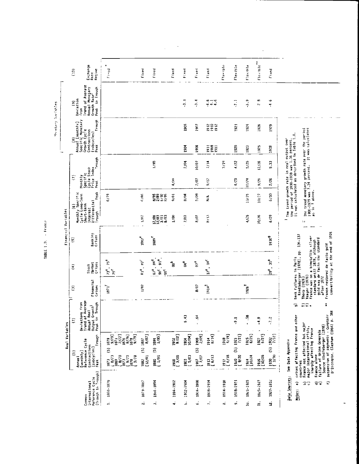|                                                   | Real Variables                                                                                                                                                                                                                                                                                               |                                                                                                                               |                             |                                                                                                                                                                                                                                                                           |                            | Financial Variables      |                                                        |                                                                                   |                |                                                                                                                                                                                                                                                             | Moretary Variables                                                                                           |                                                                           |
|---------------------------------------------------|--------------------------------------------------------------------------------------------------------------------------------------------------------------------------------------------------------------------------------------------------------------------------------------------------------------|-------------------------------------------------------------------------------------------------------------------------------|-----------------------------|---------------------------------------------------------------------------------------------------------------------------------------------------------------------------------------------------------------------------------------------------------------------------|----------------------------|--------------------------|--------------------------------------------------------|-----------------------------------------------------------------------------------|----------------|-------------------------------------------------------------------------------------------------------------------------------------------------------------------------------------------------------------------------------------------------------------|--------------------------------------------------------------------------------------------------------------|---------------------------------------------------------------------------|
| International<br>Common                           | Reference Cycle<br>Contractions<br>(subcycles)<br>$[$ ronth $ y $<br>Ξ<br>Annua I                                                                                                                                                                                                                            | ions from<br>of Average<br>Growth<br>Real<br>Output G<br>Peak to<br>$\frac{1}{2}$<br>Deviati<br>Trena a<br>Annua <sup>1</sup> | Financial<br>Crises<br>Ξ    | Stock<br>Narket<br>Crises<br>Ξ                                                                                                                                                                                                                                            | Bank Ing<br>$\overline{5}$ | Differential<br>Interest | Monthly Specific<br>Cycle Long-Term<br>Short-Term<br>Ξ | Specific<br>Cycle Stock<br>Price Index<br>Peak<br>Monthly<br>$\widehat{\epsilon}$ |                | Annual [monthly]<br>Specific Monetary<br>Growth Cycle<br>Contractions<br>(subcycles)<br>Ξ                                                                                                                                                                   | Trend of Average<br>Annual Monetary<br>Growth Rate <sup>c</sup><br>Peak to Trough<br>(9)<br>Deviation<br>rom | Exchange<br>Rate<br>Regime<br>$\frac{1}{2}$                               |
| Peference Cycle<br>(Trough to Trough)             | Trough<br>Peak                                                                                                                                                                                                                                                                                               | Trough                                                                                                                        |                             |                                                                                                                                                                                                                                                                           | Crises                     | l rough                  | Peak                                                   |                                                                                   | Trough         | Trough<br>Penk                                                                                                                                                                                                                                              |                                                                                                              |                                                                           |
| 1868-1879<br>$\overline{a}$                       | ភ្នំ<br>ភូមិ មិន<br>ភូមិ មិន<br>$\begin{bmatrix} 1619 & 1679 \\ 97791 & 16791 \end{bmatrix}$<br>0.66<br>$\frac{9}{130}$<br>1873<br>L 873<br>1869<br>e.g                                                                                                                                                      |                                                                                                                               | $\overline{1}$              | 75 <sub>q</sub><br>$\Delta$<br>$\frac{a}{\sqrt{2}}$<br>$\mathbf{r}^{\mathbf{c}}$                                                                                                                                                                                          |                            |                          | 6/79                                                   |                                                                                   |                |                                                                                                                                                                                                                                                             |                                                                                                              | Fired                                                                     |
| $1679 - 1687$<br>Ń                                | $6/87$ ]<br>(5) 1887<br>3/78<br>12/81<br>382                                                                                                                                                                                                                                                                 |                                                                                                                               | 1/82                        | $\mathscr{B}^{\mathcal{E}}$<br>្នុ                                                                                                                                                                                                                                        | $18Bz^e$                   | 1/82                     | 6786                                                   |                                                                                   |                |                                                                                                                                                                                                                                                             |                                                                                                              | Fixed                                                                     |
| 18-61-1894<br>5                                   | 1/95]<br>(5) 1894<br>1890<br>(1/91                                                                                                                                                                                                                                                                           |                                                                                                                               |                             | $\frac{1}{2}$<br>$\mathbf{P}^{\mathbf{G}^{\mathbf{G}}}$ .<br>$\overline{\phantom{a}}$<br>$\left 9\right>^2$<br>$\mathbf{S}^{\mathbf{C}}$<br>$\frac{1}{2}$                                                                                                                 | 1889                       | <b>6656</b><br>2275      | <b>9888</b><br>2022                                    |                                                                                   | 1/93           |                                                                                                                                                                                                                                                             |                                                                                                              | Fired                                                                     |
| 1894-1902<br>÷                                    | 1902<br>9/02]<br>1900<br>[ 3/00<br>$\ddot{\phantom{1}}$                                                                                                                                                                                                                                                      |                                                                                                                               |                             | $\mathbf{e}^{\mathbf{e}}$                                                                                                                                                                                                                                                 |                            | $\frac{8}{100}$          | $\frac{1}{2}$                                          | $\frac{c}{2}$                                                                     |                |                                                                                                                                                                                                                                                             |                                                                                                              | Fixed                                                                     |
| 1902-1904<br>á,                                   | 10/04]<br>1904<br>5/03<br>1903                                                                                                                                                                                                                                                                               | 5.43                                                                                                                          |                             | e<br>B                                                                                                                                                                                                                                                                    |                            | PQ/                      | $\tilde{e}$                                            |                                                                                   | $\frac{3}{2}$  | Š<br>š                                                                                                                                                                                                                                                      | $\frac{1}{2}$                                                                                                | Fixed                                                                     |
| 1904-1908<br>نَّه                                 | $(5) 1908$<br>$2/09$ ]<br>1707<br>7<br>$\frac{30}{2}$<br>J.                                                                                                                                                                                                                                                  | 54                                                                                                                            | $\frac{1}{2}$               | $\ddot{\phantom{0}}$                                                                                                                                                                                                                                                      |                            | <b>10/B</b>              | 5/09                                                   | 2/07                                                                              | 10/07          | 1907<br>1906                                                                                                                                                                                                                                                | $\frac{1}{2}$                                                                                                | Fixed                                                                     |
| 1908-1914<br>$\ddot{\sim}$                        | 1914<br>8/14]<br>16/13<br>1913                                                                                                                                                                                                                                                                               |                                                                                                                               | $\mathbf{r}^{\mathrm{tot}}$ | $\cdot$ 14 <sup>c</sup><br>$\frac{1}{2}$                                                                                                                                                                                                                                  |                            | <b>RLAR</b>              | ž                                                      | 5/12                                                                              | $\frac{4}{10}$ | 282<br>292<br>$\overline{5}$ $\overline{8}$<br>$\overline{5}$                                                                                                                                                                                               | $- - -$                                                                                                      | Flxed                                                                     |
| 1914-1918<br>×.                                   | 1/19<br>1918<br><b>BI / 9</b><br>1917                                                                                                                                                                                                                                                                        |                                                                                                                               |                             |                                                                                                                                                                                                                                                                           |                            |                          |                                                        |                                                                                   | av.            |                                                                                                                                                                                                                                                             |                                                                                                              | Fierible                                                                  |
| 1918-1921<br>ă,                                   | $(5) 1921$<br>$7/21$<br>$02/6$ ]<br>1920                                                                                                                                                                                                                                                                     | ግ                                                                                                                             |                             |                                                                                                                                                                                                                                                                           |                            |                          |                                                        | 4/20                                                                              | 4/22           | 1921<br>$\frac{5}{2}$                                                                                                                                                                                                                                       | Ę                                                                                                            | Flexible                                                                  |
| 1921-1925<br>2                                    | (5/6)<br>1925<br>10/24<br>1924                                                                                                                                                                                                                                                                               | a.<br>.                                                                                                                       | 1926                        |                                                                                                                                                                                                                                                                           |                            | i/i s                    | 11/25                                                  | 10/21                                                                             | 5/25           | 1924<br>1923                                                                                                                                                                                                                                                | $\frac{3}{2}$                                                                                                | Flexible                                                                  |
| 1925-1927<br>ė                                    | 1927<br>6/27]<br>110/26<br>1926                                                                                                                                                                                                                                                                              | $\frac{3}{1}$                                                                                                                 |                             |                                                                                                                                                                                                                                                                           |                            | 10/26                    | 10/27                                                  | 9/26                                                                              | 12/26          | 1926<br>1925                                                                                                                                                                                                                                                | œ<br>N                                                                                                       | $\mathsf{C}\mathsf{le}\!\!\prec\!\!\mathsf{ib}\!\!\mathsf{le}^{\ast\ast}$ |
| 1927-1932<br>٠,                                   | $(5) 1932$<br>$7/32$ ]<br>1/30<br>$\frac{1}{2}$                                                                                                                                                                                                                                                              | $\ddot{\tilde{z}}$                                                                                                            |                             | $\overline{\mathbf{u}}$<br>.<br>م                                                                                                                                                                                                                                         | 19309                      | 5/29                     | $5/3$                                                  | 2/26                                                                              | 5.33           | 1929<br>1928                                                                                                                                                                                                                                                | ю<br>۳                                                                                                       | Fixed                                                                     |
| Data Sources:<br>Φ<br>ទទ<br>ွ<br>Ξ<br>ာ<br>Notes: | suspension of payments - Compto<br>D'Escompte. Clapham (1966) p.<br>crises affecting France and oth<br>France not affected but major<br>Source Kindleberger (1978)<br>major international crisis,<br>sharply affecting France<br>failure of Union Generale<br>See Data Appendix<br>France alone<br>countries | ţ<br>Б<br>$E^{\sim}$<br>384<br>È<br>ŧ<br>f,                                                                                   |                             | convertibility at the end of 1926<br>bank failures in Paris<br>Thompherger (1978), pp. 136-137<br>Teager (1976)<br>France was on a bimetallic silver<br>France was on a bimetallic silver<br>standard until 1878, although<br>after 1872<br>France restored de facto gold |                            | $\ddot{\phantom{0}}$     |                                                        |                                                                                   |                | The trend monetary growth rate over the period<br>1900-1939 was 7.34 percent. It was calculated<br>as in 1 alove.<br>The trend growth rate in real output over<br>the period of 1900-1939 was 1.36 Percent.<br>It was calculated as described in Table 1.4. |                                                                                                              |                                                                           |

 $\ddot{\phantom{a}}$ 

 $\ddot{\phantom{a}}$ 

 $\ddot{\phantom{a}}$ 

TABLE 1.D. - France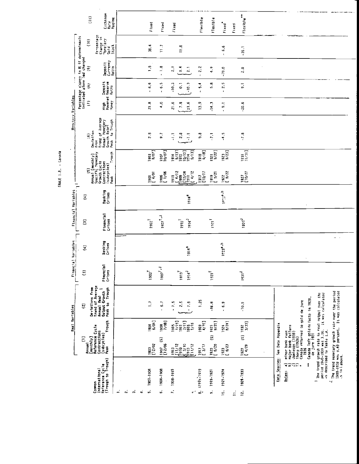**FABLE 1.E. - Canada** FAult i.E .-carada

|                                                                                                             |                                                                                                                                                                                   | Real Variables                                                                        |                                    | Financial Variables                                     |                                        | Financial Variables                        |                                                                                              | $\cdot$                                                                                                                                                                                                                                                                                               | <b>Konetary Variables</b>                                                                  |                             |                                     |                                                |                                                                                          |                            |  |
|-------------------------------------------------------------------------------------------------------------|-----------------------------------------------------------------------------------------------------------------------------------------------------------------------------------|---------------------------------------------------------------------------------------|------------------------------------|---------------------------------------------------------|----------------------------------------|--------------------------------------------|----------------------------------------------------------------------------------------------|-------------------------------------------------------------------------------------------------------------------------------------------------------------------------------------------------------------------------------------------------------------------------------------------------------|--------------------------------------------------------------------------------------------|-----------------------------|-------------------------------------|------------------------------------------------|------------------------------------------------------------------------------------------|----------------------------|--|
|                                                                                                             | Ξ<br>Annua <sup>1</sup>                                                                                                                                                           | Ξ                                                                                     | $\widehat{\mathbf{c}}$             | Ξ                                                       | Ξ                                      | Ξ                                          | S                                                                                            |                                                                                                                                                                                                                                                                                                       | $\widehat{\mathbf{e}}$                                                                     | $\ddot{ }$                  | Q                                   | $\ddot{6}$                                     | Percentage change in H if determinants<br>indicated alone had changed<br>$\widehat{\Xi}$ | $\Xi$                      |  |
| International<br>Reference Cycle<br>(Trough to Trough)<br>Common                                            | Trough<br>[monthly]<br>Reference Cycle<br>Contractions<br>(subcycles)<br>Peak                                                                                                     | Deviations from<br>Trend of Average<br>Annual Real<br>Output Growth<br>Peak to Trough | Ξ<br>Financ <sup>-</sup><br>Crises | Banking<br>Crises                                       | Financial<br>Crises                    | Banking<br>Crises                          | Annual [monthly]<br>Specific Monetary<br>Growth Cycle<br>Growth Cycle<br>(subcycles)<br>Peak |                                                                                                                                                                                                                                                                                                       | from<br>Trand of Average<br>Annual Monetary<br>Grouth Rate<<br>Peak to Trough<br>Deviation | Kigh<br>Powered<br>Noney    | Deposit<br>Reserve<br>Ratio         | Deposit<br>Currency<br>Ratio                   | Percentays<br>Change in<br>Moretary<br>Sold<br>Stock                                     | Exchange<br>Rate<br>Regime |  |
| $\cdot$<br>Ľ<br>$\sim$                                                                                      |                                                                                                                                                                                   |                                                                                       |                                    |                                                         |                                        |                                            |                                                                                              |                                                                                                                                                                                                                                                                                                       |                                                                                            |                             |                                     |                                                |                                                                                          |                            |  |
| $\cdot$                                                                                                     |                                                                                                                                                                                   |                                                                                       |                                    |                                                         |                                        |                                            |                                                                                              |                                                                                                                                                                                                                                                                                                       |                                                                                            |                             |                                     |                                                |                                                                                          |                            |  |
| $\overline{a}$                                                                                              |                                                                                                                                                                                   |                                                                                       |                                    |                                                         |                                        |                                            |                                                                                              |                                                                                                                                                                                                                                                                                                       |                                                                                            |                             |                                     |                                                |                                                                                          |                            |  |
| 1901-1904<br>us.                                                                                            | $\frac{1900}{6001}$<br>1903<br>[12/02                                                                                                                                             | Ξ                                                                                     | 1902                               |                                                         | $1902^T$                               |                                            | 1901<br>[4/01                                                                                | 1903<br>8707]                                                                                                                                                                                                                                                                                         | $\ddot{2}$ .                                                                               | 21.8                        | å.å<br>٠                            | $\ddot{\cdot}$                                 | 38.4                                                                                     | Flacd                      |  |
| 1904-1908<br>نی                                                                                             | 1908<br>7/08]<br>Ø<br>1907<br>[12/06                                                                                                                                              | $\tilde{\omega}$<br>$\blacksquare$                                                    | F.<br>$1907$ <sup>I</sup>          |                                                         | $1907$ <sup>T</sup>                    |                                            | 1.406<br>{ 1/06                                                                              | 1907<br>10/07]                                                                                                                                                                                                                                                                                        | $\tilde{\mathbf{r}}$                                                                       | ្មី                         | ت.<br>م<br>$\pmb{\mathsf{I}}$       | $\frac{8}{1}$<br>$\mathbf{I}$                  | $\overline{a}$                                                                           | Fixed                      |  |
| 1908-1915<br>$\sim$                                                                                         | l'915<br>$\frac{1913}{1910}$ 72                                                                                                                                                   | $\mathcal{F}_{\mathcal{A}}$<br>×                                                      |                                    |                                                         |                                        |                                            |                                                                                              |                                                                                                                                                                                                                                                                                                       | Ę                                                                                          | 21.6                        | $-10.3$                             | $\overline{\phantom{0}}$                       |                                                                                          | Fixed                      |  |
| $\alpha$ .                                                                                                  | Fers<br>Fers<br>Pers<br>$\frac{1}{1913}$ no<br>$\frac{2}{11}$                                                                                                                     | $\frac{5}{2}$<br>$\ddot{\phantom{a}}$<br>$\mathbf{L}$                                 | $r^{1151}$<br>$\mathbf{1}^{0161}$  | $19148$                                                 | $l$ tisi<br>$\mathbf{I}^{\text{DIGI}}$ | 1914 <sup>8</sup>                          |                                                                                              | $\begin{bmatrix} 914 \\ 5/131 \\ 1910 \\ 1910 \\ 1914 \\ 5/131 \\ 5/131 \\ 5/131 \\ 5/131 \\ 5/131 \\ 5/131 \\ 5/131 \\ 5/131 \\ 5/131 \\ 5/131 \\ 5/131 \\ 5/131 \\ 5/131 \\ 5/131 \\ 5/131 \\ 5/131 \\ 5/131 \\ 5/131 \\ 5/131 \\ 5/132 \\ 5/132 \\ 5/132 \\ 5/132 \\ 5/132 \\ 5/132 \\ 5/132 \\ 5$ | $\frac{1}{2}$<br>$\Xi$                                                                     | 7.8<br>21.6                 | $\overline{\phantom{a}}$<br>$-10.7$ | $\overline{\mathbf{0}}$<br>$\overline{\omega}$ | $\frac{1}{2}$                                                                            |                            |  |
| etel-state<br>$\ddot{\phantom{a}}$                                                                          | $\frac{1918}{4/15}$<br>$\frac{3}{1}$<br>1917                                                                                                                                      | $\frac{25}{25}$                                                                       |                                    |                                                         |                                        |                                            | [10/17<br>E                                                                                  | $\frac{1918}{4/18}$                                                                                                                                                                                                                                                                                   | $\frac{9}{5}$                                                                              | $\frac{3}{2}$               | $\frac{1}{2}$<br>$\blacksquare$     | $\frac{2}{3}$                                  |                                                                                          | Flexible                   |  |
| 1919-1921<br>é,                                                                                             | $\frac{1921}{9/21}$<br>$\hat{z}$<br>1920<br>[ 6/20                                                                                                                                | $-16.8$                                                                               | $1921^{\mathsf{T}}$                |                                                         | $1721$                                 |                                            | raja<br>Cop                                                                                  | $\frac{192}{9/22}$                                                                                                                                                                                                                                                                                    | $\overline{\gamma}$                                                                        | $-14.3$                     | œ<br>S                              | $\ddot{ }$                                     |                                                                                          | Flexible                   |  |
| 1921-1924<br>Ξ                                                                                              | 1924<br>6/24 1<br>$\frac{1923}{19723}$                                                                                                                                            | Đ<br>é<br>$\ddot{\phantom{1}}$                                                        |                                    | $\mathfrak{t}^{\text{L}}$ and $\mathfrak{t}^{\text{L}}$ |                                        | $\mathfrak{g}^*\mathfrak{g}^*\mathfrak{g}$ | $\frac{1922}{19/22}$                                                                         | 1923<br>9/23]                                                                                                                                                                                                                                                                                         | ال<br>ال                                                                                   | $\tilde{z}$<br>$\mathbf{t}$ | $\frac{5}{2}$<br>$\blacksquare$     | $-20.0$                                        | 6.6<br>$\mathbf{r}$                                                                      | First                      |  |
| Ξ                                                                                                           |                                                                                                                                                                                   |                                                                                       |                                    |                                                         |                                        |                                            |                                                                                              |                                                                                                                                                                                                                                                                                                       |                                                                                            |                             |                                     |                                                |                                                                                          | Fixed                      |  |
| CEL 1-261<br>$\vec{z}$                                                                                      | $(5)$ 1932<br>$3/33$ ]<br>$\frac{1926}{14/29}$                                                                                                                                    | $-10.9$                                                                               | <sup>LEGL</sup>                    |                                                         | lesi                                   |                                            | $\frac{1927}{110/27}$                                                                        | $\begin{bmatrix} 1 & 0 & 1 \\ 0 & 1 & 1 \\ 1 & 1 & 1 \end{bmatrix}$                                                                                                                                                                                                                                   | Ŗ<br>7                                                                                     | 20.6                        | $\frac{1}{2}$                       | ្លឹ                                            | $-35.1$                                                                                  | Flexible. <sup>**</sup>    |  |
|                                                                                                             | $\blacksquare$                                                                                                                                                                    |                                                                                       |                                    |                                                         |                                        |                                            |                                                                                              |                                                                                                                                                                                                                                                                                                       |                                                                                            |                             |                                     |                                                |                                                                                          |                            |  |
| <b>Data</b> Sources:                                                                                        | See Data Appendix                                                                                                                                                                 |                                                                                       |                                    | $\mathbf{r}$                                            |                                        |                                            |                                                                                              |                                                                                                                                                                                                                                                                                                       |                                                                                            |                             |                                     |                                                |                                                                                          |                            |  |
| $\ddot{\phantom{a}}$<br>$\widehat{\bullet} \widehat{\bullet} \widehat{\circ} \widehat{\bullet}$<br>llo tes: | Canada returned to gold de jure<br>major bank failure<br>Jamieson (1959)<br>Thorp (1926)<br>minor bank runs<br>1926                                                               |                                                                                       |                                    |                                                         |                                        |                                            |                                                                                              |                                                                                                                                                                                                                                                                                                       |                                                                                            |                             |                                     |                                                |                                                                                          |                            |  |
| -                                                                                                           | The trend growth rate in real output over the<br>period 1900-1939 was 3.10. It was calculated<br>us described in Table I.A.<br>Canada left gold de facto in 1929.<br>de jure 1931 |                                                                                       |                                    |                                                         |                                        |                                            |                                                                                              |                                                                                                                                                                                                                                                                                                       |                                                                                            |                             |                                     |                                                |                                                                                          |                            |  |
| ٠ų                                                                                                          | The trend mometary growth raie over the period<br>1900-1939 was 5.49 percent, It was calculated<br>.s inlabove,                                                                   |                                                                                       |                                    |                                                         |                                        |                                            |                                                                                              |                                                                                                                                                                                                                                                                                                       |                                                                                            |                             |                                     |                                                |                                                                                          |                            |  |
|                                                                                                             |                                                                                                                                                                                   |                                                                                       |                                    |                                                         |                                        |                                            |                                                                                              |                                                                                                                                                                                                                                                                                                       |                                                                                            |                             |                                     |                                                |                                                                                          |                            |  |
|                                                                                                             |                                                                                                                                                                                   |                                                                                       |                                    |                                                         |                                        |                                            |                                                                                              |                                                                                                                                                                                                                                                                                                       |                                                                                            |                             |                                     |                                                |                                                                                          |                            |  |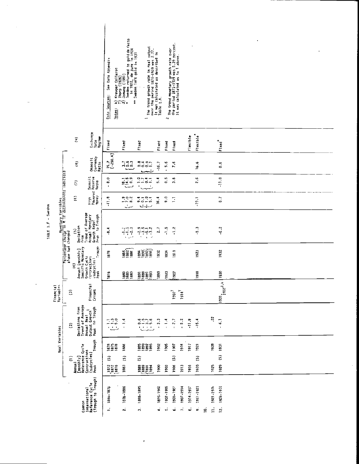SABLE ).F — Swed'!n TABLE J.F - Sweden

Mores: k) Kreuger Collapso<br>T) Jomung (1981)<br>J) Jomung (1981)<br>\* Sweden 1922, de jure in 1924<br>\*\* Sweden 1eft gold in 1931 1882 - 1.0 (1.5 C 0.6 F 0.6 C 0.6 C 0.6 C 0.6 F 0.6 C 0.6 C 0.6 C 0.6 C 0.6 C 0.6 C 0.6 C 0.6 C 0.6 C 0.6 C 0.<br>1880 1882 - 1.0 (1.5 C 0.6 C 0.6 C 0.6 C 0.6 C 0.6 C 0.6 C 0.6 C 0.6 C 0.6 C 0.6 C 0.6 C 0.6 C 0.6 C 0.6 C 0.6 The trend monetary growth rate over<br>the period 1871-1939 was 5.39 percent.<br>It was calculated as in 1 above. 6. 1906-1906 (5) 1906 (5) 1907 — 2,7 1007 — 2,7 1007 1910 -1.2 1.1 3,6 7.6 Fixed the percent. l The trend growth rate in real output<br>over the period 1871-1939 was 2.77.<br>It was calculated as described in<br>Table 1.A. (1891 1892 | - 3.7 1892 | 1892 | - - 5.1 | - - 5.1 | - 0.4 | 0.9 | 1.0 | 1.0 | 1.0 | 1.0 | 1.0 | 1.0 | 1.0 | 1<br>|1894 1895 | - 5.6 | 1893 1894; | -3.2 | - 1.1 | - 1.7 | - 1.7 | - 1.0 | - 1.7 | - 1.7 | - 1.7 | - 1.7 | - 1.7 1803 1886 7—2.3 8.2 I, 0.9 (0.3 in 1922, de jure in 1924 11894 1895 [[118] 1895 [118] .,-3.2 5.6 [11] .,-3.2 [11] .,-3.2 [12] .,-3.2 [12] .,-3.2 .,-3.77.<br>[12] Past Concert Light 1939 was concert in the personal in the personal interval in the personal interval in t<br>[12] Decembe Sweden left gold in 1931 It was calculated 45 descrIbed in It was calculated as in t above. 1. 186b.187\$ ,1872 (5) 1878 1,1 1876 1878 -8.4 -11.0 -8.0 5.? Fixed Pat., Sources: See Data Appendin Data Sources: See Data Appendix 1876 [1876] [1876] [1876] [1876] [1876] [1876] [1876] [1876] [1876] [1876] [1876] [1876] [1876] [1876] [1876]<br>Thomas (1876) [1876] [1876] [1876] [1876] [1876] [1876] [1876] [1876] [1876] [1876] [1876] [1876] [1876] [187<br>T 2. 1078-1806 1883 5) 1886 - 1.4 1880 1886 - —1.7 1.9 18.1 3.7 Fixed 3) Joining (1981) 4. 1895-1902 | 1900 1902 | 3.3 | 3.2 | 3.3 | 3.54 | 3.64 | 3.92 | 3.999 | 3.999 | 2.7 | 2.7 EXPRESSIVE L.A.L.<br>A. 1940-1952 | 2.7 Eke  $\sim$ 5. 1905 – 1.4 1.4 1.4 1.4 1.5 POST 1905 1905 - 5.6 Fixed 1905 . 1905 - 5.9 POST 1905 - 5.9 POST 1905 - 5.6 Fixed Exchange<br>Rate<br>Regime Fiexible versredice Lycie (auch Peak Trough Peak to Trough Crises publications) – Growth Rats2 9owered leserve deposit Exchange<br>1.Trough to Trough) Peak Trough Peak to Trough Crises Peak Trough Peak to Trough loney Ratio Currency l 9. 3922. 3922. 3922. 3922. 3922. 3922. 3922. 3922. 3922. 3922. 3922. 3922. 3932. 3932. 3932. 3932. 3932. 3932. 3932. 3932. 3932. 3932. 3932. 3932. 3932. 3932. 3932. 3932. 3932. 3932. 3932. 3932. 3932. 3932. 3932. 3932. 393 Flexible 0. 1914—1917 1916 1917 —11.9 Flexible Ratio Regin  $\overline{9}$ Fixed<sup>\*</sup> Fixed Fixed Fixed Fixed Fixed Fixed 1921 1931 1931 1932 (5) 1931 - 6.1 - 6.1 - 6.1 - 6.2 8.7 -11.0 0.8 Flxed\* 1932 1932 -6.2 8.7 -11.0 0.8 1932 19 3. 1886-1895 | 1895 | 1895 | 1895 | 1896 | 1894 | 12.9 | 13.8 | 1.0 | 1.0 | 0.8 | Fixed<br>| 1.0 | 1.1 P | 1.5 | 1.5 | 1.5 | 1.5 | 1.5 | 1.1.1 P | 0.4 | 1.1 P | 1.1 P | 1.1 P | 1.1 P | 1.1 P | 1.1 P |  $\begin{bmatrix} 15.7 \\ -250.4 \end{bmatrix}$ 1872 1873 | 1872 | 1873 | 1884 | 1894 | 1895 | 1896 | 1897 | 1898 | 1899 | 1899 | 1899 | 1899 | 1899 | 1899 | Deposit<br>Currency<br>Ratio  $\lambda$ Annual]<br>[monthly] Deviations from Annual (monthly] Deviation (5) (7) (8)  $\frac{1}{2}$  $rac{1}{1000}$  $-16.7$  $-5.6$  $16.6$  $\widehat{\mathbf{e}}$  $\ddot{r}$  $0.8$ Montage change in Minetary Variables<br>Percentage change in M if determinants indicated<br>alume had changed Real Variables Variables **Variabluc Monetary Variables (Real Pi**AE)<br>Variables Variables (Variables Limms)<br>(2) principality in one had changed in The detEinmants indicates  $\overline{\phantom{a}}$ High Deposit<br>Powered Reserve<br>Money Ratto  $\frac{1}{2}$  $\frac{1}{100}$  $\frac{1}{2}$ Reference Cycle (subcycles) Output Growth Financial crtrectiors, Planual Ponstary iiinh Denssit  $-8.0$  $\frac{1}{2}$  $\frac{5}{2}$  $\frac{1}{2}$  $\frac{6}{2}$  $\overline{\epsilon}$  $\hat{\mathbf{r}}$  $\begin{array}{c}\n\bullet \circ \circ \\
\bullet \circ \circ \\
\bullet\n\end{array}$  $5.5 - 7.5$ 36.4  $-11.9$  $9.0$  $-19.1$  $6.7$  $\Box$ r:<br>Smecial (monthly) Deviation<br>Smecial Srowth Cycle<br>Financial Srowth Cycle<br>Financial Srowtheors<br>Crises Peak Cycles Trough Post to Trough<br>Octises Peak Trough Post to Trough International Contractions Annual Real Growth CycIr Trend of Average  $\frac{1}{4}$  $-6.2$  $\frac{1}{1}$   $\frac{1}{2}$   $\frac{1}{2}$   $\frac{1}{2}$  $\begin{array}{c} 0.0000 \\ 0.0000 \\ 1.100 \\ 0.01 \end{array}$  $\frac{1}{2}$  $-8,4$  $\overline{2}$ . 7  $\frac{1}{2}$ Coiwson reference Cycle Trend of Average Seed !lc Monetary iron, 1882<br>1882<br>1885 1892)<br>1892)<br>1894 1932  $\frac{9}{20}$ 1923  $1878$ 1902  $\tilde{\mathbf{g}}$  $\vec{z}$ 1876 1899  $\frac{8}{2}$ 931,  $\frac{1}{1932}$ <sup>1</sup> k 1930 **888 EBER Etic**  $\tilde{g}$ Financial  $1500^T$  $\bar{c}$  $(2)$  (3)  $\overline{q}$ 7. 7907.1914 1913 1914 - 5.2 1914T Deviations from<br>Trend of Average<br>Annual Real<br>Output Growth<br>Peak to Trough 11. 1921. 1929 . 1925 . 1926 . 1927 . 1928 . 1929 . 1929 . 1929 . 1929 . 1929 . 1929 . 1929 . 1929 . 1929 . 19  $-1.3$  $\frac{65}{10}$ <br> $-\frac{1}{10}$ <br> $-\frac{1}{10}$  $-3.3$  $\tilde{\mathbf{z}}$  $\overline{6}$  $\ddot{ }$ .  $\frac{1}{2}$  $\frac{1}{2}$  $-5.2$  $11.9$  $-15.4$  $\widetilde{\mathbf{c}}$ **Real Variables** Annual<br>[monthly] D<br>Reference Cycle T<br>Reference Cycle T<br>(contractions Tough Peak .<br>1917 1878<br>1975<br>1878 **\$8225**  $1907$ 1886 1902 1905 1914 1921 1928 1931  $\tilde{\mathbf{c}}$  $\overline{c}$  $\overline{3}$  $\hat{c}$  $\overline{5}$  $\widehat{\mathcal{Z}}$ 1913 1929  $\frac{1872}{1876}$ 1883 1900 1903 1906 1916  $\frac{5}{20}$ 1925 **BBE2** loternational C<br>Reference Cycle (<br>Crevence Cycle (<br>(Trough to Trough) F 1886-1895 11, 1921-1976 1. 1866-1876 1678-1886 1895-1902 1902 - 1905 1905-1907 1907-1914  $1914 - 1917$ 1917-1921 1928-1931 Common  $\ddot{\sim}$  $\ddot{a}$ цś.  $\mathbf{r}$  $\ddot{\bullet}$  $\ddot{\phantom{a}}$  $\vec{r}$ ف  $\tilde{p}$  $\leq$ 

j,

The trend monetary growth rate over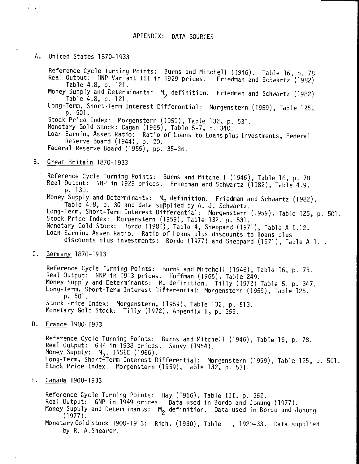#### APPENDIX: DATA SOURCES

#### A. United States 1870—1933

第4章 第4章

Reference Cycle Turning Points: Burns and Mitchell (1946). Table 16, p. 78<br>Real Output: NNP Variant III in 1929 prices. Friedman and Schwartz (1982) Table 4.8, p. 121.

Money Supply and Determinants:  $M<sub>2</sub>$  definition. Friedman and Schwartz (1982) Table 4.8, p. 121.

Long-Term, Short-Term Interest Differential: Morgenstern (1959), Table 125, p. 501.

Stock Price Index: Morgenstern (1959), Table 132, p. 531.

Monetary Gold Stock: Cagan (1965), Table 5-7, p. 340.

Loan Earning Asset Ratio: Ratio of Loans to Loans plus Investments, Federal Reserve Board (1944), p. 20.

Feueral Reserve Board (1955), pp. 35-36.

# B. Great Britain 1870-1933

Reference Cycle Turning Points: Burns and Mitchell (1946), Table 16, p. 78. Real Output: NNP in 1929 prices. Friedman and Schwartz (1982), Table 4.9, p. 130.

Money Supply and Determinants:  $M_2$  definition. Friedman and Schwartz (1982), Table 4.8, p. 30 and data supplied by A. J. Schwartz.

Long-Term, Short-Term Interest Differential: Morgenstern (1959), Table 125, p. 501. Stock Price Index: Morgenstern (1959), Table 132. p. 531.

Monetary Gold Stock: Bordo (1981), Table 4, Sheppard (1971), Table A 1.12.

Loan Earning Asset Ratio. Ratio of Loans plus discounts to loans plus

discounts plus investments: Bordo (1977) and Sheppard (1971), Table A 1.1.

C. Germany 1870-1913

Reference Cycle Turning Points: Burns and Mitchell (1946), Table 16, p. 78. Real Output: NNP in 1913 prices. Hoffman (1965), Table 249. Money Supply and Determinants:  $M_2$  definition. Tilly (1972) Table 5. p. 347. Long-Term, Short-Term Interest Differential: Morgenstern (1959), Table 125. p. 501. Stock Price Index: Morgenstern, (1959), Table 132, p. 513. Monetary Gold Stock: Tilly (1972), Appendix 1, p. 359.

D. France 1900—1933

Reference Cycle Turning Points: Burns and Mitchell (1946), Table 16, p. 78. Real Output: GUP in 1938 prices. Sauvy (1954). Money Supply: M<sub>2</sub>. INSEE (1966). Long-Term, Short-Term Interest Differential: Morgenstern (1959), Table 125, p. 501. Stock Price Index: Morgenstern (1959), Table 132, p. 531.

E. Canada 1900-1933

Reference Cycle Turning Points: Hay (1966), Table III, p. 362. Real Output: GNP in 1949 prices. Data used in Bordo and Jonung (1977). Money Supply and Determinants: M2 definition. Data used in Bordo and doming (1977). Monetary Gold Stock 1900-1913: Rich. (1980), Table , 1920-33. Data supplied by R. A.Shearer.